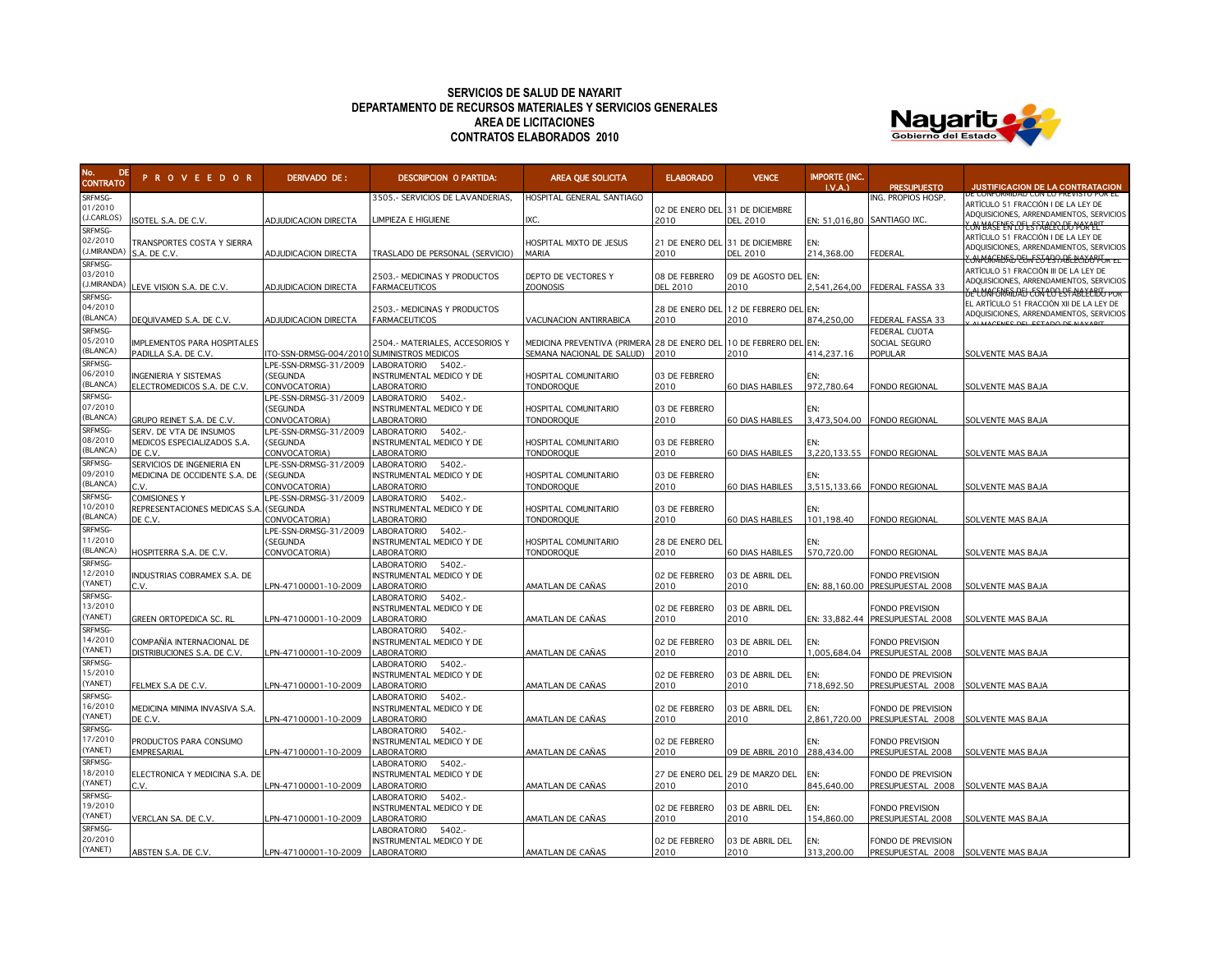## **SERVICIOS DE SALUD DE NAYARIT DEPARTAMENTO DE RECURSOS MATERIALES Y SERVICIOS GENERALES AREA DE LICITACIONES CONTRATOS ELABORADOS 2010**



| No.<br><b>DE</b><br><b>CONTRATO</b> | <b>PROVEEDOR</b>                    | DERIVADO DE:                      | <b>DESCRIPCION O PARTIDA:</b>                     | AREA QUE SOLICITA                            | <b>ELABORADO</b>                | <b>VENCE</b>                          | <b>IMPORTE (INC.</b><br>LVA. | <b>PRESLIPLIESTO</b>                               | JUSTIFICACION DE LA CONTRATACION                                                |
|-------------------------------------|-------------------------------------|-----------------------------------|---------------------------------------------------|----------------------------------------------|---------------------------------|---------------------------------------|------------------------------|----------------------------------------------------|---------------------------------------------------------------------------------|
| SRFMSG-                             |                                     |                                   | 3505.- SERVICIOS DE LAVANDERIAS,                  | HOSPITAL GENERAL SANTIAGO                    |                                 |                                       |                              | ING. PROPIOS HOSP.                                 | je Conformidad Con Lo previsto por El                                           |
| 01/2010                             |                                     |                                   |                                                   |                                              | 02 DE ENERO DEL 31 DE DICIEMBRE |                                       |                              |                                                    | ARTÍCULO 51 FRACCIÓN I DE LA LEY DE<br>ADQUISICIONES, ARRENDAMIENTOS, SERVICIOS |
| (J.CARLOS)                          | SOTEL S.A. DE C.V.                  | <b>ADJUDICACION DIRECTA</b>       | IMPIEZA E HIGUIENE                                | IXC.                                         | 2010                            | <b>DEL 2010</b>                       | EN: 51,016,80 SANTIAGO IXC.  |                                                    | <b>CON MASE LES LOT L STABLEC DE POK LETT</b>                                   |
| SRFMSG-<br>02/2010                  |                                     |                                   |                                                   |                                              |                                 |                                       |                              |                                                    | ARTÍCULO 51 FRACCIÓN I DE LA LEY DE                                             |
| (J.MIRANDA)                         | TRANSPORTES COSTA Y SIERRA          |                                   |                                                   | HOSPITAL MIXTO DE JESUS                      | 21 DE ENERO DEL 31 DE DICIEMBRE |                                       | EN:                          |                                                    | ADQUISICIONES, ARRENDAMIENTOS, SERVICIOS                                        |
| SRFMSG-                             | S.A. DE C.V.                        | ADJUDICACION DIRECTA              | TRASLADO DE PERSONAL (SERVICIO)                   | <b>MARIA</b>                                 | 2010                            | <b>DEL 2010</b>                       | 214,368.00                   | FEDERAL                                            | <b>CONPURATIONS CELAFET LST ABLECTOPPER EL</b>                                  |
| 03/2010                             |                                     |                                   | 2503.- MEDICINAS Y PRODUCTOS                      | DEPTO DE VECTORES Y                          | 08 DE FEBRERO                   | 09 DE AGOSTO DEL EN:                  |                              |                                                    | ARTÍCULO 51 FRACCIÓN III DE LA LEY DE                                           |
| J.MIRANDA)                          | EVE VISION S.A. DE C.V.             | <b>ADJUDICACION DIRECTA</b>       | FARMACEUTICOS                                     | <b>ZOONOSIS</b>                              | <b>DEL 2010</b>                 | 2010                                  |                              | 2,541,264,00 FEDERAL FASSA 33                      | ADQUISICIONES, ARRENDAMIENTOS, SERVICIOS                                        |
| SRFMSG-                             |                                     |                                   |                                                   |                                              |                                 |                                       |                              |                                                    | <del>BELUNFORINDATJ CON LO EST ABLECIDO POR</del>                               |
| 04/2010                             |                                     |                                   | 2503.- MEDICINAS Y PRODUCTOS                      |                                              |                                 | 28 DE ENERO DEL 12 DE FEBRERO DEL EN: |                              |                                                    | EL ARTÍCULO 51 FRACCIÓN XII DE LA LEY DE                                        |
| (BLANCA)                            | DEQUIVAMED S.A. DE C.V.             | ADJUDICACION DIRECTA              | <b>FARMACEUTICOS</b>                              | VACUNACION ANTIRRABICA                       | 2010                            | 2010                                  | 874,250,00                   | FEDERAL FASSA 33                                   | ADQUISICIONES, ARRENDAMIENTOS, SERVICIOS                                        |
| SRFMSG-                             |                                     |                                   |                                                   |                                              |                                 |                                       |                              | FEDERAL CUOTA                                      |                                                                                 |
| 05/2010                             | IMPLEMENTOS PARA HOSPITALES         |                                   | 2504.- MATERIALES, ACCESORIOS Y                   | MEDICINA PREVENTIVA (PRIMERA 28 DE ENERO DEL |                                 | 10 DE FEBRERO DEL EN:                 |                              | SOCIAL SEGURO                                      |                                                                                 |
| (BLANCA)                            | PADILLA S.A. DE C.V.                | TO-SSN-DRMSG-004/2010             | SUMINISTROS MEDICOS                               | SEMANA NACIONAL DE SALUD)                    | 2010                            | 2010                                  | 414,237.16                   | POPULAR                                            | SOLVENTE MAS BAJA                                                               |
| SRFMSG-                             |                                     | LPE-SSN-DRMSG-31/2009             | LABORATORIO 5402.-                                |                                              |                                 |                                       |                              |                                                    |                                                                                 |
| 06/2010<br>(BLANCA)                 | <b>INGENIERIA Y SISTEMAS</b>        | <b>SEGUNDA</b>                    | NSTRUMENTAL MEDICO Y DE                           | HOSPITAL COMUNITARIO                         | 03 DE FEBRERO                   |                                       | FN:                          |                                                    |                                                                                 |
| SRFMSG-                             | ELECTROMEDICOS S.A. DE C.V.         | CONVOCATORIA)                     | <b>ABORATORIO</b>                                 | <b>TONDOROQUE</b>                            | 2010                            | <b>60 DIAS HABILES</b>                | 972.780.64                   | FONDO REGIONAL                                     | SOLVENTE MAS BAJA                                                               |
| 07/2010                             |                                     | LPE-SSN-DRMSG-31/2009<br>(SEGUNDA | LABORATORIO<br>5402.-<br>INSTRUMENTAL MEDICO Y DE | HOSPITAL COMUNITARIO                         | 03 DE FEBRERO                   |                                       | EN:                          |                                                    |                                                                                 |
| (BLANCA)                            | GRUPO REINET S.A. DE C.V.           | CONVOCATORIA)                     | <b>ABORATORIO</b>                                 | <b>TONDOROQUE</b>                            | 2010                            | <b>60 DIAS HABILES</b>                |                              | 3,473,504.00 FONDO REGIONAL                        | SOLVENTE MAS BAJA                                                               |
| SRFMSG-                             | SERV. DE VTA DE INSUMOS             | LPE-SSN-DRMSG-31/2009             | LABORATORIO<br>5402.-                             |                                              |                                 |                                       |                              |                                                    |                                                                                 |
| 08/2010                             | MEDICOS ESPECIALIZADOS S.A.         | (SEGUNDA                          | INSTRUMENTAL MEDICO Y DE                          | HOSPITAL COMUNITARIO                         | 03 DE FEBRERO                   |                                       | FN·                          |                                                    |                                                                                 |
| <b>BLANCA)</b>                      | DE C.V.                             | CONVOCATORIA)                     | ABORATORIO                                        | <b>TONDOROQUE</b>                            | 2010                            | <b>60 DIAS HABILES</b>                |                              | 3,220,133.55 FONDO REGIONAL                        | SOLVENTE MAS BAJA                                                               |
| SRFMSG-                             | SERVICIOS DE INGENIERIA EN          | LPE-SSN-DRMSG-31/2009             | LABORATORIO 5402 .-                               |                                              |                                 |                                       |                              |                                                    |                                                                                 |
| 09/2010                             | MEDICINA DE OCCIDENTE S.A. DE       | (SEGUNDA                          | INSTRUMENTAL MEDICO Y DE                          | HOSPITAL COMUNITARIO                         | 03 DE FEBRERO                   |                                       | FN.                          |                                                    |                                                                                 |
| <b>BLANCA)</b>                      |                                     | CONVOCATORIA)                     | <b>ABORATORIO</b>                                 | <b>TONDOROQUE</b>                            | 2010                            | <b>60 DIAS HABILES</b>                |                              | 3,515,133.66 FONDO REGIONAL                        | SOLVENTE MAS BAJA                                                               |
| SRFMSG-                             | <b>COMISIONES Y</b>                 | LPE-SSN-DRMSG-31/2009             | LABORATORIO<br>5402.-                             |                                              |                                 |                                       |                              |                                                    |                                                                                 |
| 10/2010                             | REPRESENTACIONES MEDICAS S.A        | (SEGUNDA                          | NSTRUMENTAL MEDICO Y DE                           | HOSPITAL COMUNITARIO                         | 03 DE FEBRERO                   |                                       | FN:                          |                                                    |                                                                                 |
| (BLANCA)                            | DE C.V.                             | CONVOCATORIA)                     | ABORATORIO                                        | <b>TONDOROQUE</b>                            | 2010                            | <b>60 DIAS HABILES</b>                | 101,198.40                   | FONDO REGIONAL                                     | SOLVENTE MAS BAJA                                                               |
| SRFMSG-                             |                                     | LPE-SSN-DRMSG-31/2009             | $5402 -$<br>LABORATORIO                           |                                              |                                 |                                       |                              |                                                    |                                                                                 |
| 11/2010<br>(BLANCA)                 |                                     | <b>SEGUNDA</b>                    | NSTRUMENTAL MEDICO Y DE                           | HOSPITAL COMUNITARIO                         | 28 DE ENERO DEL                 |                                       |                              |                                                    |                                                                                 |
| SRFMSG-                             | HOSPITERRA S.A. DE C.V.             | CONVOCATORIA)                     | ABORATORIO                                        | <b>TONDOROQUE</b>                            | 2010                            | <b>60 DIAS HABILES</b>                | 570,720.00                   | <b>FONDO REGIONAL</b>                              | SOLVENTE MAS BAJA                                                               |
| 12/2010                             |                                     |                                   | ABORATORIO<br>5402.                               |                                              |                                 |                                       |                              |                                                    |                                                                                 |
| YANET)                              | INDUSTRIAS COBRAMEX S.A. DE<br>C.V. | PN-47100001-10-2009               | NSTRUMENTAL MEDICO Y DE<br>LABORATORIO            | AMATLAN DE CAÑAS                             | 02 DE FEBRERO<br>2010           | 03 DE ABRIL DEL<br>2010               |                              | FONDO PREVISION<br>EN: 88,160.00 PRESUPUESTAL 2008 | <b>SOLVENTE MAS BAJA</b>                                                        |
| SRFMSG-                             |                                     |                                   | 5402 .-<br>ABORATORIO                             |                                              |                                 |                                       |                              |                                                    |                                                                                 |
| 13/2010                             |                                     |                                   | INSTRUMENTAL MEDICO Y DE                          |                                              | 02 DE FEBRERO                   | 03 DE ABRIL DEL                       |                              | FONDO PREVISION                                    |                                                                                 |
| YANET)                              | GREEN ORTOPEDICA SC. RL             | PN-47100001-10-2009               | ABORATORIO                                        | AMATLAN DE CAÑAS                             | 2010                            | 2010                                  |                              | EN: 33,882.44 PRESUPUESTAL 2008                    | SOLVENTE MAS BAJA                                                               |
| SRFMSG-                             |                                     |                                   | ABORATORIO 5402.-                                 |                                              |                                 |                                       |                              |                                                    |                                                                                 |
| 14/2010                             | COMPAÑÍA INTERNACIONAL DE           |                                   | INSTRUMENTAL MEDICO Y DE                          |                                              | 02 DE FEBRERO                   | 03 DE ABRIL DEL                       | EN:                          | <b>FONDO PREVISION</b>                             |                                                                                 |
| YANET)                              | DISTRIBUCIONES S.A. DE C.V.         | PN-47100001-10-2009               | <b>ABORATORIO</b>                                 | AMATLAN DE CAÑAS                             | 2010                            | 2010                                  | 1.005.684.04                 | PRESUPUESTAL 2008                                  | SOLVENTE MAS BAJA                                                               |
| SRFMSG-                             |                                     |                                   | 5402.-<br>ABORATORIO                              |                                              |                                 |                                       |                              |                                                    |                                                                                 |
| 15/2010                             |                                     |                                   | INSTRUMENTAL MEDICO Y DE                          |                                              | 02 DE FEBRERO                   | 03 DE ABRIL DEL                       | EN:                          | FONDO DE PREVISION                                 |                                                                                 |
| (YANET)                             | FELMEX S.A DE C.V.                  | PN-47100001-10-2009               | <b>ABORATORIO</b>                                 | AMATLAN DE CAÑAS                             | 2010                            | 2010                                  | 718,692.50                   | PRESUPUESTAL 2008 SOLVENTE MAS BAJA                |                                                                                 |
| SRFMSG-<br>16/2010                  |                                     |                                   | <b>ABORATORIO</b><br>5402.-                       |                                              |                                 |                                       |                              |                                                    |                                                                                 |
| YANET)                              | MEDICINA MINIMA INVASIVA S.A.       |                                   | NSTRUMENTAL MEDICO Y DE<br><b>ABORATORIO</b>      |                                              | 02 DE FEBRERO<br>2010           | 03 DE ABRIL DEL                       | EN:                          | FONDO DE PREVISION                                 |                                                                                 |
| SRFMSG-                             | de C.V.                             | PN-47100001-10-2009               | ABORATORIO<br>5402.                               | AMATLAN DE CAÑAS                             |                                 | 2010                                  | 2,861,720.00                 | PRESUPUESTAL 2008 SOLVENTE MAS BAJA                |                                                                                 |
| 17/2010                             | PRODUCTOS PARA CONSUMO              |                                   | NSTRUMENTAL MEDICO Y DE                           |                                              | 02 DE FEBRERO                   |                                       | EN:                          | FONDO PREVISION                                    |                                                                                 |
| YANET)                              | EMPRESARIAL                         | PN-47100001-10-2009               | ABORATORIO                                        | AMATLAN DE CAÑAS                             | 2010                            | 09 DE ABRIL 2010 288,434.00           |                              | PRESUPUESTAL 2008                                  | SOLVENTE MAS BAJA                                                               |
| SRFMSG-                             |                                     |                                   | ABORATORIO<br>5402.-                              |                                              |                                 |                                       |                              |                                                    |                                                                                 |
| 18/2010                             | ELECTRONICA Y MEDICINA S.A. DE      |                                   | NSTRUMENTAL MEDICO Y DE                           |                                              |                                 | 27 DE ENERO DEL 29 DE MARZO DEL       | EN:                          | FONDO DE PREVISION                                 |                                                                                 |
| YANET)                              | ∴V.                                 | PN-47100001-10-2009               | ABORATORIO                                        | AMATLAN DE CAÑAS                             | 2010                            | 2010                                  | 845.640.00                   | PRESUPUESTAL 2008                                  | <b>SOLVENTE MAS BAJA</b>                                                        |
| SRFMSG-                             |                                     |                                   | ABORATORIO<br>5402 .-                             |                                              |                                 |                                       |                              |                                                    |                                                                                 |
| 19/2010                             |                                     |                                   | INSTRUMENTAL MEDICO Y DE                          |                                              | 02 DE FEBRERO                   | 03 DE ABRIL DEL                       | EN:                          | FONDO PREVISION                                    |                                                                                 |
| YANET)                              | VERCLAN SA. DE C.V.                 | PN-47100001-10-2009               | <b>ABORATORIO</b>                                 | AMATLAN DE CAÑAS                             | 2010                            | 2010                                  | 154,860.00                   | PRESUPUESTAL 2008                                  | SOLVENTE MAS BAJA                                                               |
| SRFMSG-                             |                                     |                                   | ABORATORIO 5402.-                                 |                                              |                                 |                                       |                              |                                                    |                                                                                 |
| 20/2010                             |                                     |                                   | INSTRUMENTAL MEDICO Y DE                          |                                              | 02 DE FEBRERO                   | 03 DE ABRIL DEL                       | EN:                          | FONDO DE PREVISION                                 |                                                                                 |
| (YANET)                             | ABSTEN S.A. DE C.V.                 | LPN-47100001-10-2009              | LABORATORIO                                       | AMATLAN DE CAÑAS                             | 2010                            | 2010                                  | 313,200.00                   | PRESUPUESTAL 2008 SOLVENTE MAS BAJA                |                                                                                 |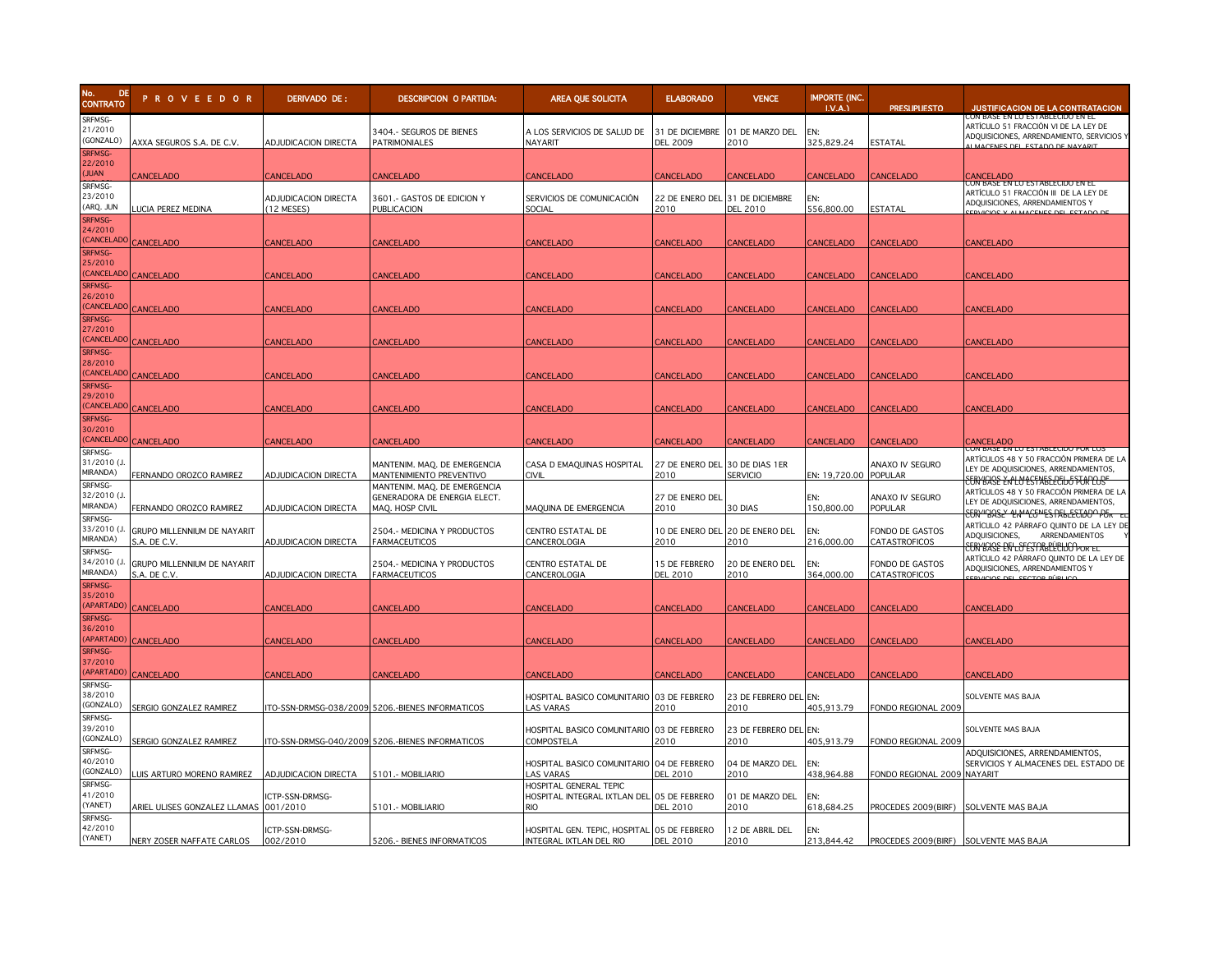

| No.<br>DE.<br><b>CONTRATO</b>                | <b>PROVEEDOR</b>                            | DERIVADO DE:                         | <b>DESCRIPCION O PARTIDA:</b>                                                   | AREA QUE SOLICITA                                                      | <b>ELABORADO</b>                        | <b>VENCE</b>                            | <b>IMPORTE (INC.</b><br>LVA. | <b>PRESUPUESTO</b>                    | <b>JUSTIFICACION DE LA CONTRATACION</b>                                                                                                         |
|----------------------------------------------|---------------------------------------------|--------------------------------------|---------------------------------------------------------------------------------|------------------------------------------------------------------------|-----------------------------------------|-----------------------------------------|------------------------------|---------------------------------------|-------------------------------------------------------------------------------------------------------------------------------------------------|
| SRFMSG-<br>21/2010<br>(GONZALO)              | AXXA SEGUROS S.A. DE C.V.                   | ADJUDICACION DIRECTA                 | 3404 .- SEGUROS DE BIENES<br><b>PATRIMONIALES</b>                               | A LOS SERVICIOS DE SALUD DE<br>NAYARIT                                 | <b>DEL 2009</b>                         | 31 DE DICIEMBRE 01 DE MARZO DEL<br>2010 | EN:<br>325,829.24            | ESTATAL                               | ON BASE EN LO ESTABLECIDO EN EL<br>ARTÍCULO 51 FRACCIÓN VI DE LA LEY DE<br>ADQUISICIONES, ARRENDAMIENTO, SERVICIOS Y                            |
| SRFMSG-<br>22/2010<br><b>JUAN</b>            | <b>ANCELADO</b>                             | CANCELADO                            | CANCELADO                                                                       | <b>CANCELADO</b>                                                       | CANCELADO                               | <b>CANCELADO</b>                        | CANCELADO                    | <b>ANCELADO</b>                       | <b>ANCELADO</b>                                                                                                                                 |
| SRFMSG-<br>23/2010<br>(ARQ. JUN              | <b>UCIA PEREZ MEDINA</b>                    | ADJUDICACION DIRECTA<br>$(12$ MESES) | 3601 .- GASTOS DE EDICION Y<br>PUBLICACION                                      | SERVICIOS DE COMUNICACIÓN<br>SOCIAL                                    | 22 DE ENERO DEL 31 DE DICIEMBRE<br>2010 | <b>DEL 2010</b>                         | FN:<br>556,800.00            | ESTATAL                               | CON BASE EN LO ESTABLECIDO EN EL<br>ARTÍCULO 51 FRACCIÓN III DE LA LEY DE<br>ADQUISICIONES, ARRENDAMIENTOS Y<br>EDVICIOS Y ALMACENES DEL ESTADO |
| SRFMSG-<br>24/2010<br><b>CANCELAD</b>        | CANCELADO                                   | CANCELADO                            | CANCELADO                                                                       | CANCELADO                                                              | CANCELADO                               | CANCELADO                               | <b>CANCELADO</b>             | CANCELADO                             | <b>CANCELADO</b>                                                                                                                                |
| SRFMSG-<br>25/2010<br><b>CANCELAD</b>        | CANCELADO                                   | <b>ANCELADO</b>                      | CANCELADO                                                                       | <b>ANCELADO</b>                                                        | CANCELADO                               | <b>CANCELADO</b>                        | CANCELADO                    | <b>ANCELADO</b>                       | CANCELADO                                                                                                                                       |
| <b>SRFMSG-</b><br>26/2010<br><b>CANCELAD</b> | CANCELADO                                   | <b>ANCELADO</b>                      | CANCELADO                                                                       | CANCELADO                                                              | CANCELADO                               | <b>CANCELADO</b>                        | <b>CANCELADO</b>             | <b>CANCELADO</b>                      | CANCELADO                                                                                                                                       |
| SRFMSG-<br>27/2010<br><b>CANCELAD</b>        | CANCELADO                                   | <b>CANCELADO</b>                     | <b>CANCELADO</b>                                                                | <b>CANCELADO</b>                                                       | CANCELADO                               | CANCELADO                               | <b>CANCELADO</b>             | CANCELADO                             | <b>CANCELADO</b>                                                                                                                                |
| SRFMSG-<br>28/2010<br><b>CANCELAD</b>        | <b>CANCELADO</b>                            | <b>CANCELADO</b>                     | <b>CANCELADO</b>                                                                | CANCELADO                                                              | CANCELADO                               | CANCELADO                               | <b>CANCELADO</b>             | CANCELADO                             | <b>CANCELADO</b>                                                                                                                                |
| SRFMSG-<br>29/2010<br><b>CANCELAD</b>        | <b>CANCELADO</b>                            | <b>CANCELADO</b>                     | <b>CANCELADO</b>                                                                | CANCELADO                                                              | CANCELADO                               | <b>CANCELADO</b>                        | <b>CANCELADO</b>             | <b>CANCELADO</b>                      | CANCELADO                                                                                                                                       |
| SRFMSG-<br>30/2010<br><b>CANCELADO</b>       | CANCELADO                                   | <b>CANCELADO</b>                     | CANCELADO                                                                       | <b>ANCELADO</b>                                                        | CANCELADO                               | <b>CANCELADO</b>                        | <b>CANCELADO</b>             | <b>CANCELADO</b>                      | Cancelado                                                                                                                                       |
| SRFMSG-<br>31/2010 (J<br>MIRANDA)            | FERNANDO OROZCO RAMIREZ                     | ADJUDICACION DIRECTA                 | MANTENIM. MAQ. DE EMERGENCIA<br>MANTENIMIENTO PREVENTIVO                        | CASA D EMAQUINAS HOSPITAL<br><b>CIVIL</b>                              | 27 DE ENERO DEL 30 DE DIAS 1ER<br>2010  | <b>SERVICIO</b>                         | EN: 19,720.00                | ANAXO IV SEGURO<br>POPULAR            | ARTÍCULOS 48 Y 50 FRACCIÓN PRIMERA DE LA<br>LEY DE ADQUISICIONES, ARRENDAMIENTOS,                                                               |
| SRFMSG-<br>32/2010 (J<br>MIRANDA)            | FERNANDO OROZCO RAMIREZ                     | <b>ADJUDICACION DIRECTA</b>          | MANTENIM. MAQ. DE EMERGENCIA<br>GENERADORA DE ENERGIA ELECT.<br>MAQ. HOSP CIVIL | MAQUINA DE EMERGENCIA                                                  | 27 DE ENERO DEL<br>2010                 | 30 DIAS                                 | EN:<br>150,800.00            | ANAXO IV SEGURO<br>POPULAR            | E <del>ERY ISASE EN LU ESTABELECIJO FENPLOS"</del><br>ARTÍCULOS 48 Y 50 FRACCIÓN PRIMERA DE LA<br>LEY DE ADQUISICIONES, ARRENDAMIENTOS,         |
| SRFMSG-<br>33/2010 (J<br>MIRANDA)            | GRUPO MILLENNIUM DE NAYARIT<br>S.A. DE C.V. | ADJUDICACION DIRECTA                 | 2504 .- MEDICINA Y PRODUCTOS<br><b>FARMACEUTICOS</b>                            | CENTRO ESTATAL DE<br>CANCEROLOGIA                                      | 2010                                    | 10 DE ENERO DEL 20 DE ENERO DEL<br>2010 | EN:<br>216,000.00            | FONDO DE GASTOS<br>CATASTROFICOS      | <del>ERN "BASE" LIN" CENES PABLECTIOO" PER</del><br>ARTÍCULO 42 PÁRRAFO QUINTO DE LA LEY DE<br>ADQUISICIONES,<br>ARRENDAMIENTOS                 |
| SRFMSG-<br>34/2010 (J<br><b>MIRANDA)</b>     | GRUPO MILLENNIUM DE NAYARIT<br>S.A. DE C.V. | ADJUDICACION DIRECTA                 | 2504.- MEDICINA Y PRODUCTOS<br><b>FARMACEUTICOS</b>                             | CENTRO ESTATAL DE<br>CANCEROLOGIA                                      | 15 DE FEBRERO<br><b>DEL 2010</b>        | 20 DE ENERO DEL<br>2010                 | FN:<br>364,000.00            | FONDO DE GASTOS<br>CATASTROFICOS      | <del>EERY BASE EN LOFEST ABELIEIDO POR EL</del><br>ARTÍCULO 42 PÁRRAFO QUINTO DE LA LEY DE<br>ADQUISICIONES, ARRENDAMIENTOS Y                   |
| SRFMSG-<br>35/2010<br><b>APARTADO</b>        | CANCELADO                                   | <b>CANCELADO</b>                     | CANCELADO                                                                       | <b>ANCELADO</b>                                                        | <b>CANCELADO</b>                        | CANCELADO                               | <b>CANCELADO</b>             | CANCELADO                             | CANCELADO                                                                                                                                       |
| <b>SRFMSG-</b><br>36/2010<br><b>APARTADO</b> | <b>CANCELADO</b>                            | <b>ANCELADO</b>                      | CANCELADO                                                                       | CANCELADO                                                              | CANCELADO                               | CANCELADO                               | <b>CANCELADO</b>             | <b>ANCELADO</b>                       | CANCELADO                                                                                                                                       |
| SRFMSG-<br>37/2010<br><b>APARTADO</b>        | <b>ANCELADO</b>                             | <b>ANCELADO:</b>                     | CANCELADO                                                                       | <b>ANCELADO</b>                                                        | CANCELADO                               | CANCELADO                               | CANCELADO                    | <b>ANCELADO</b>                       | <b>ANCELADO</b>                                                                                                                                 |
| SRFMSG-<br>38/2010<br>(GONZALO)              | SERGIO GONZALEZ RAMIREZ                     |                                      | TO-SSN-DRMSG-038/2009 5206.-BIENES INFORMATICOS                                 | HOSPITAL BASICO COMUNITARIO 03 DE FEBRERO<br>LAS VARAS                 | 2010                                    | 23 DE FEBRERO DEL EN:<br>2010           | 405,913.79                   | FONDO REGIONAL 2009                   | SOLVENTE MAS BAJA                                                                                                                               |
| SRFMSG-<br>39/2010<br>(GONZALO)              | SERGIO GONZALEZ RAMIREZ                     |                                      | ITO-SSN-DRMSG-040/2009 5206.-BIENES INFORMATICOS                                | HOSPITAL BASICO COMUNITARIO 03 DE FEBRERO<br>COMPOSTELA                | 2010                                    | 23 DE FEBRERO DEL EN:<br>2010           | 405.913.79                   | FONDO REGIONAL 2009                   | SOLVENTE MAS BAJA                                                                                                                               |
| SRFMSG-<br>40/2010<br>(GONZALO)              | LUIS ARTURO MORENO RAMIREZ                  | ADJUDICACION DIRECTA                 | 5101 .- MOBILIARIO                                                              | HOSPITAL BASICO COMUNITARIO 04 DE FEBRERO<br>LAS VARAS                 | <b>DEL 2010</b>                         | 04 DE MARZO DEL<br>2010                 | EN:<br>438,964.88            | FONDO REGIONAL 2009 NAYARIT           | ADQUISICIONES, ARRENDAMIENTOS,<br>SERVICIOS Y ALMACENES DEL ESTADO DE                                                                           |
| SRFMSG-<br>41/2010<br>(YANET)                | ARIEL ULISES GONZALEZ LLAMAS                | ICTP-SSN-DRMSG-<br>001/2010          | 5101.- MOBILIARIO                                                               | HOSPITAL GENERAL TEPIC<br>HOSPITAL INTEGRAL IXTLAN DEL                 | 05 DE FEBRERO<br><b>DEL 2010</b>        | 01 DE MARZO DEL<br>2010                 | EN:<br>618,684.25            | PROCEDES 2009(BIRF)                   | SOLVENTE MAS BAJA                                                                                                                               |
| SRFMSG-<br>42/2010<br>(YANET)                | NERY ZOSER NAFFATE CARLOS                   | ICTP-SSN-DRMSG-<br>002/2010          | 5206 .- BIENES INFORMATICOS                                                     | HOSPITAL GEN. TEPIC, HOSPITAL O5 DE FEBRERO<br>INTEGRAL IXTLAN DEL RIO | <b>DEL 2010</b>                         | 12 DE ABRIL DEL<br>2010                 | EN:<br>213,844.42            | PROCEDES 2009(BIRF) SOLVENTE MAS BAJA |                                                                                                                                                 |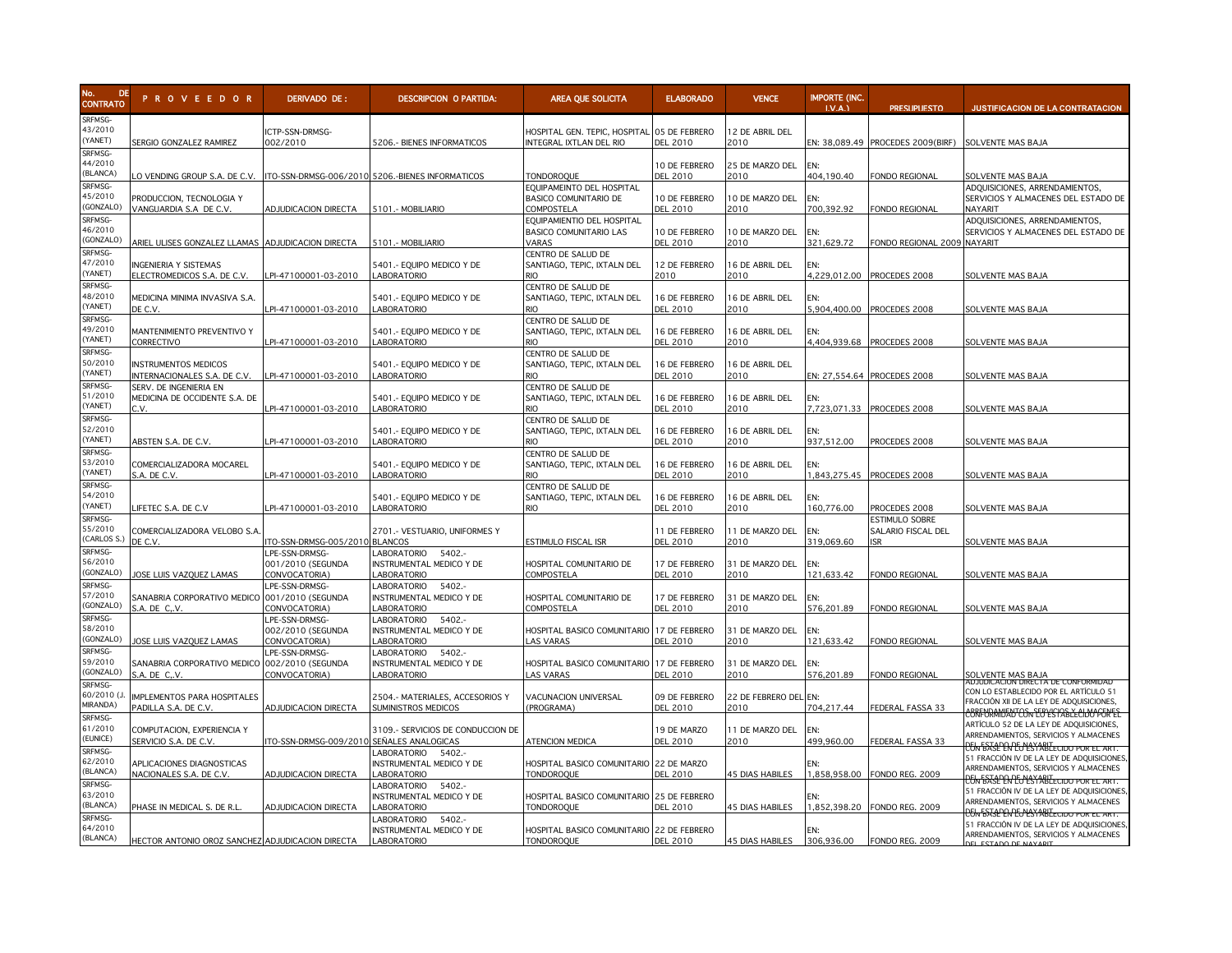

| No.<br>DE<br><b>CONTRATO</b>              | <b>PROVEEDOR</b>                                                | DERIVADO DE:                                                 | <b>DESCRIPCION O PARTIDA:</b>                                          | AREA QUE SOLICITA                                                      | <b>ELABORADO</b>                 | <b>VENCE</b>              | <b>IMPORTE (INC.</b><br>LV.A. | <b>PRESLIPLIESTO</b>                                  | <b>JUSTIFICACION DE LA CONTRATACION</b>                                                                                                                            |
|-------------------------------------------|-----------------------------------------------------------------|--------------------------------------------------------------|------------------------------------------------------------------------|------------------------------------------------------------------------|----------------------------------|---------------------------|-------------------------------|-------------------------------------------------------|--------------------------------------------------------------------------------------------------------------------------------------------------------------------|
| SRFMSG-<br>43/2010<br>(YANET)<br>SRFMSG-  | SERGIO GONZALEZ RAMIREZ                                         | ICTP-SSN-DRMSG-<br>002/2010                                  | 5206 .- BIENES INFORMATICOS                                            | HOSPITAL GEN. TEPIC, HOSPITAL 05 DE FEBRERO<br>INTEGRAL IXTLAN DEL RIO | <b>DEL 2010</b>                  | 12 DE ABRIL DEL<br>2010   |                               | EN: 38,089.49 PROCEDES 2009(BIRF) SOLVENTE MAS BAJA   |                                                                                                                                                                    |
| 44/2010<br><b>BLANCA)</b><br>SRFMSG-      | O VENDING GROUP S.A. DE C.V.                                    |                                                              | ITO-SSN-DRMSG-006/2010 5206.-BIENES INFORMATICOS                       | TONDOROQUE<br>EQUIPAMEINTO DEL HOSPITAL                                | 10 DE FEBRERO<br><b>DEL 2010</b> | 25 DE MARZO DEL<br>2010   | EN:<br>404,190.40             | FONDO REGIONAL                                        | SOLVENTE MAS BAJA<br>ADQUISICIONES, ARRENDAMIENTOS,                                                                                                                |
| 45/2010<br>GONZALO)                       | PRODUCCION, TECNOLOGIA Y<br>VANGUARDIA S.A DE C.V.              | ADJUDICACION DIRECTA                                         | 5101.- MOBILIARIO                                                      | BASICO COMUNITARIO DE<br>COMPOSTELA                                    | 10 DE FEBRERO<br><b>DEL 2010</b> | 10 DE MARZO DEL<br>2010   | EN:<br>700,392.92             | ONDO REGIONAL                                         | SERVICIOS Y ALMACENES DEL ESTADO DE<br><b>NAYARIT</b>                                                                                                              |
| SRFMSG-<br>46/2010<br>GONZALO)            | ARIEL ULISES GONZALEZ LLAMAS                                    | ADJUDICACION DIRECTA                                         | 5101.- MOBILIARIO                                                      | EQUIPAMIENTIO DEL HOSPITAL<br><b>BASICO COMUNITARIO LAS</b><br>VARAS   | 10 DE FEBRERO<br><b>DEL 2010</b> | 10 DE MARZO DEL<br>2010   | EN:<br>321,629.72             | ONDO REGIONAL 2009 NAYARIT                            | ADQUISICIONES, ARRENDAMIENTOS,<br>SERVICIOS Y ALMACENES DEL ESTADO DE                                                                                              |
| SRFMSG-<br>47/2010<br>YANET)              | INGENIERIA Y SISTEMAS<br>ELECTROMEDICOS S.A. DE C.V.            | PI-47100001-03-2010                                          | 5401 .- EQUIPO MEDICO Y DE<br><b>LABORATORIO</b>                       | CENTRO DE SALUD DE<br>SANTIAGO, TEPIC, IXTALN DEL<br>חו                | 12 DE FEBRERO<br>2010            | 16 DE ABRIL DEL<br>2010   | EN:<br>4,229,012.00           | PROCEDES 2008                                         | SOLVENTE MAS BAJA                                                                                                                                                  |
| SRFMSG-<br>48/2010<br>YANET)              | MEDICINA MINIMA INVASIVA S.A.<br>DE C.V.                        | PI-47100001-03-2010                                          | 5401.- EQUIPO MEDICO Y DE<br><b>ABORATORIO</b>                         | CENTRO DE SALUD DE<br>SANTIAGO, TEPIC, IXTALN DEL                      | 16 DE FEBRERO<br>DEL 2010        | 16 DE ABRIL DEL<br>2010   | EN:<br>5,904,400.00           | PROCEDES 2008                                         | <b>SOLVENTE MAS BAJA</b>                                                                                                                                           |
| SRFMSG-<br>49/2010<br>YANET)              | MANTENIMIENTO PREVENTIVO Y<br>CORRECTIVO                        | PI-47100001-03-2010                                          | 5401 .- EQUIPO MEDICO Y DE<br>LABORATORIO                              | CENTRO DE SALUD DE<br>SANTIAGO, TEPIC, IXTALN DEL<br>RIO               | 16 DE FEBRERO<br><b>DEL 2010</b> | 16 DE ABRIL DEL<br>2010   | EN:<br>4,404,939.68           | PROCEDES 2008                                         | SOLVENTE MAS BAJA                                                                                                                                                  |
| SRFMSG-<br>50/2010<br>YANET)              | <b>INSTRUMENTOS MEDICOS</b><br>INTERNACIONALES S.A. DE C.V.     | PI-47100001-03-2010                                          | 5401 .- EQUIPO MEDICO Y DE<br>LABORATORIO                              | CENTRO DE SALUD DE<br>SANTIAGO, TEPIC, IXTALN DEL                      | 16 DE FEBRERO<br><b>DEL 2010</b> | 16 DE ABRIL DEL<br>2010   |                               | EN: 27,554.64 PROCEDES 2008                           | SOLVENTE MAS BAJA                                                                                                                                                  |
| SRFMSG-<br>51/2010<br>YANET)              | Serv. de ingenieria en<br>MEDICINA DE OCCIDENTE S.A. DE<br>C.V. | PI-47100001-03-2010                                          | 5401 .- EQUIPO MEDICO Y DE<br>LABORATORIO                              | CENTRO DE SALUD DE<br>SANTIAGO, TEPIC, IXTALN DEL                      | 16 DE FEBRERO<br>DEL 2010        | 16 DE ABRIL DEL<br>2010   | EN:<br>7,723,071.33           | PROCEDES 2008                                         | SOLVENTE MAS BAJA                                                                                                                                                  |
| SRFMSG-<br>52/2010<br>YANET)              | ABSTEN S.A. DE C.V.                                             | PI-47100001-03-2010                                          | 5401 .- EQUIPO MEDICO Y DE<br><b>ABORATORIO</b>                        | CENTRO DE SALUD DE<br>SANTIAGO, TEPIC, IXTALN DEL                      | 16 DE FEBRERO<br>DEL 2010        | 16 DE ABRIL DEL<br>2010   | EN:<br>937,512.00             | PROCEDES 2008                                         | SOLVENTE MAS BAJA                                                                                                                                                  |
| SRFMSG-<br>53/2010<br>YANET)              | COMERCIALIZADORA MOCAREL                                        |                                                              | 5401 .- EQUIPO MEDICO Y DE                                             | CENTRO DE SALUD DE<br>SANTIAGO, TEPIC, IXTALN DEL<br>RIO               | 16 DE FEBRERO                    | 16 DE ABRIL DEL           | FN:                           |                                                       |                                                                                                                                                                    |
| SRFMSG-<br>54/2010                        | S.A. DE C.V.                                                    | PI-47100001-03-2010                                          | LABORATORIO<br>5401 .- EQUIPO MEDICO Y DE                              | CENTRO DE SALUD DE<br>SANTIAGO, TEPIC, IXTALN DEL                      | <b>DEL 2010</b><br>16 DE FEBRERO | 2010<br>16 DE ABRIL DEL   | 1,843,275.45<br>EN:           | PROCEDES 2008                                         | SOLVENTE MAS BAJA                                                                                                                                                  |
| (YANET)<br>SRFMSG-<br>55/2010             | IFETEC S.A. DE C.V<br>COMERCIALIZADORA VELOBO S.A.              | PI-47100001-03-2010                                          | <b>LABORATORIO</b><br>2701.- VESTUARIO, UNIFORMES Y                    | rio                                                                    | <b>DEL 2010</b><br>11 DE FEBRERO | 2010<br>11 DE MARZO DEL   | 160,776.00<br>EN:             | PROCEDES 2008<br>ESTIMULO SOBRE<br>SALARIO FISCAL DEL | <b>SOLVENTE MAS BAJA</b>                                                                                                                                           |
| CARLOS S.)<br>SRFMSG-<br>56/2010          | DE C.V.                                                         | ITO-SSN-DRMSG-005/201<br>LPE-SSN-DRMSG-<br>001/2010 (SEGUNDA | <b>BLANCOS</b><br>LABORATORIO<br>5402.-<br>INSTRUMENTAL MEDICO Y DE    | <b>ESTIMULO FISCAL ISR</b><br>HOSPITAL COMUNITARIO DE                  | <b>DEL 2010</b><br>17 DE FEBRERO | 2010<br>31 DE MARZO DEL   | 319,069.60<br>EN:             | <b>SR</b>                                             | SOLVENTE MAS BAJA                                                                                                                                                  |
| GONZALO)<br>SRFMSG-<br>57/2010            | OSE LUIS VAZQUEZ LAMAS<br>SANABRIA CORPORATIVO MEDICO           | CONVOCATORIA)<br>LPE-SSN-DRMSG-<br>001/2010 (SEGUNDA         | ABORATORIO<br>LABORATORIO<br>5402.-<br>INSTRUMENTAL MEDICO Y DE        | COMPOSTELA<br>HOSPITAL COMUNITARIO DE                                  | <b>DEL 2010</b><br>17 DE FEBRERO | 2010<br>31 DE MARZO DEL   | 121,633.42<br>EN:             | ONDO REGIONAL                                         | SOLVENTE MAS BAJA                                                                                                                                                  |
| GONZALO)<br>SRFMSG-<br>58/2010            | S.A. DE CV.                                                     | CONVOCATORIA)<br>LPE-SSN-DRMSG-                              | LABORATORIO<br>5402 .-<br><b>ABORATORIO</b>                            | COMPOSTELA                                                             | <b>DEL 2010</b>                  | 2010                      | 576,201.89                    | ONDO REGIONAL                                         | SOLVENTE MAS BAJA                                                                                                                                                  |
| (GONZALO)<br>SRFMSG-                      | OSE LUIS VAZQUEZ LAMAS                                          | 002/2010 (SEGUNDA<br>CONVOCATORIA)<br>LPE-SSN-DRMSG-         | INSTRUMENTAL MEDICO Y DE<br><b>ABORATORIO</b><br>5402.-<br>LABORATORIO | HOSPITAL BASICO COMUNITARIO 17 DE FEBRERO<br><b>AS VARAS</b>           | <b>DEL 2010</b>                  | 31 DE MARZO DEL<br>2010   | EN:<br>121,633.42             | ONDO REGIONAL                                         | <b>SOLVENTE MAS BAJA</b>                                                                                                                                           |
| 59/2010<br>GONZALO)<br>SRFMSG-            | SANABRIA CORPORATIVO MEDICO<br>S.A. DE C.V.                     | 002/2010 (SEGUNDA<br>CONVOCATORIA)                           | INSTRUMENTAL MEDICO Y DE<br><b>ABORATORIO</b>                          | HOSPITAL BASICO COMUNITARIO 17 DE FEBRERO<br><b>AS VARAS</b>           | <b>DEL 2010</b>                  | 31 DE MARZO DEL<br>2010   | EN:<br>576,201.89             | FONDO REGIONAL                                        | SOLVENTE MAS BAJA<br>ADJUDICACION DIKECTA DE CONFORMIDAL                                                                                                           |
| 60/2010 (J.<br><b>MIRANDA)</b><br>SRFMSG- | IMPLEMENTOS PARA HOSPITALES<br>PADILLA S.A. DE C.V.             | ADJUDICACION DIRECTA                                         | 2504.- MATERIALES, ACCESORIOS Y<br>SUMINISTROS MEDICOS                 | VACUNACION UNIVERSAL<br>(PROGRAMA)                                     | 09 DE FEBRERO<br><b>DEL 2010</b> | 22 DE FEBRERO DEL<br>2010 | EN:<br>704,217.44             | EDERAL FASSA 33                                       | CON LO ESTABLECIDO POR EL ARTÍCULO 51<br>FRACCIÓN XII DE LA LEY DE ADQUISICIONES,<br><b>BRFURAMJENTOSNE BYLISTA BLE CILMO PERFEE</b>                               |
| 61/2010<br>EUNICE)                        | COMPUTACION, EXPERIENCIA Y<br>SERVICIO S.A. DE C.V.             | ITO-SSN-DRMSG-009/2010                                       | 3109 .- SERVICIOS DE CONDUCCION DE<br>SEÑALES ANALOGICAS               | ATENCION MEDICA                                                        | 19 DE MARZO<br><b>DEL 2010</b>   | 11 DE MARZO DEL<br>2010   | EN:<br>499,960.00             | EDERAL FASSA 33                                       | ARTÍCULO 52 DE LA LEY DE ADQUISICIONES,<br>ARRENDAMIENTOS, SERVICIOS Y ALMACENES<br><b>UN BASE EN LUESTABLECTO D'UR EL ART.</b>                                    |
| SRFMSG-<br>62/2010<br>(BLANCA)            | APLICACIONES DIAGNOSTICAS<br>NACIONALES S.A. DE C.V.            | <b>ADJUDICACION DIRECTA</b>                                  | -ABORATORIO 5402.<br>INSTRUMENTAL MEDICO Y DE<br><b>ABORATORIO</b>     | HOSPITAL BASICO COMUNITARIO 22 DE MARZO<br><b>TONDOROQUE</b>           | <b>DEL 2010</b>                  | <b>45 DIAS HABILES</b>    | EN:<br>1.858.958.00           | FONDO REG. 2009                                       | 51 FRACCIÓN IV DE LA LEY DE ADQUISICIONES<br>ARRENDAMIENTOS, SERVICIOS Y ALMACENES<br><del>UN BASL EN LO LSYABLE CIDO PO</del>                                     |
| SRFMSG-<br>63/2010<br>(BLANCA)            | PHASE IN MEDICAL S. DE R.L                                      | <b>ADJUDICACION DIRECTA</b>                                  | LABORATORIO<br>5402.-<br>INSTRUMENTAL MEDICO Y DE<br><b>ABORATORIO</b> | HOSPITAL BASICO COMUNITARIO 25 DE FEBRERO<br><b>TONDOROQUE</b>         | <b>DEL 2010</b>                  | <b>45 DIAS HABILES</b>    | FN·<br>1,852,398.20           | FONDO REG. 2009                                       | 51 FRACCIÓN IV DE LA LEY DE ADQUISICIONES<br>ARRENDAMIENTOS, SERVICIOS Y ALMACENES                                                                                 |
| SRFMSG-<br>64/2010<br>(BLANCA)            | HECTOR ANTONIO OROZ SANCHEZ ADJUDICACION DIRECTA                |                                                              | <b>ABORATORIO</b><br>5402.-<br>INSTRUMENTAL MEDICO Y DE<br>LABORATORIO | HOSPITAL BASICO COMUNITARIO 22 DE FEBRERO<br><b>TONDOROQUE</b>         | <b>DEL 2010</b>                  | <b>45 DIAS HABILES</b>    | FN:<br>306,936.00             | FONDO REG. 2009                                       | <u>15N BASE EN EU ESTABLECIDO POR EL ART</u><br>51 FRACCIÓN IV DE LA LEY DE ADQUISICIONES<br>ARRENDAMIENTOS, SERVICIOS Y ALMACENES<br><b>DEL ESTADO DE MAYARIT</b> |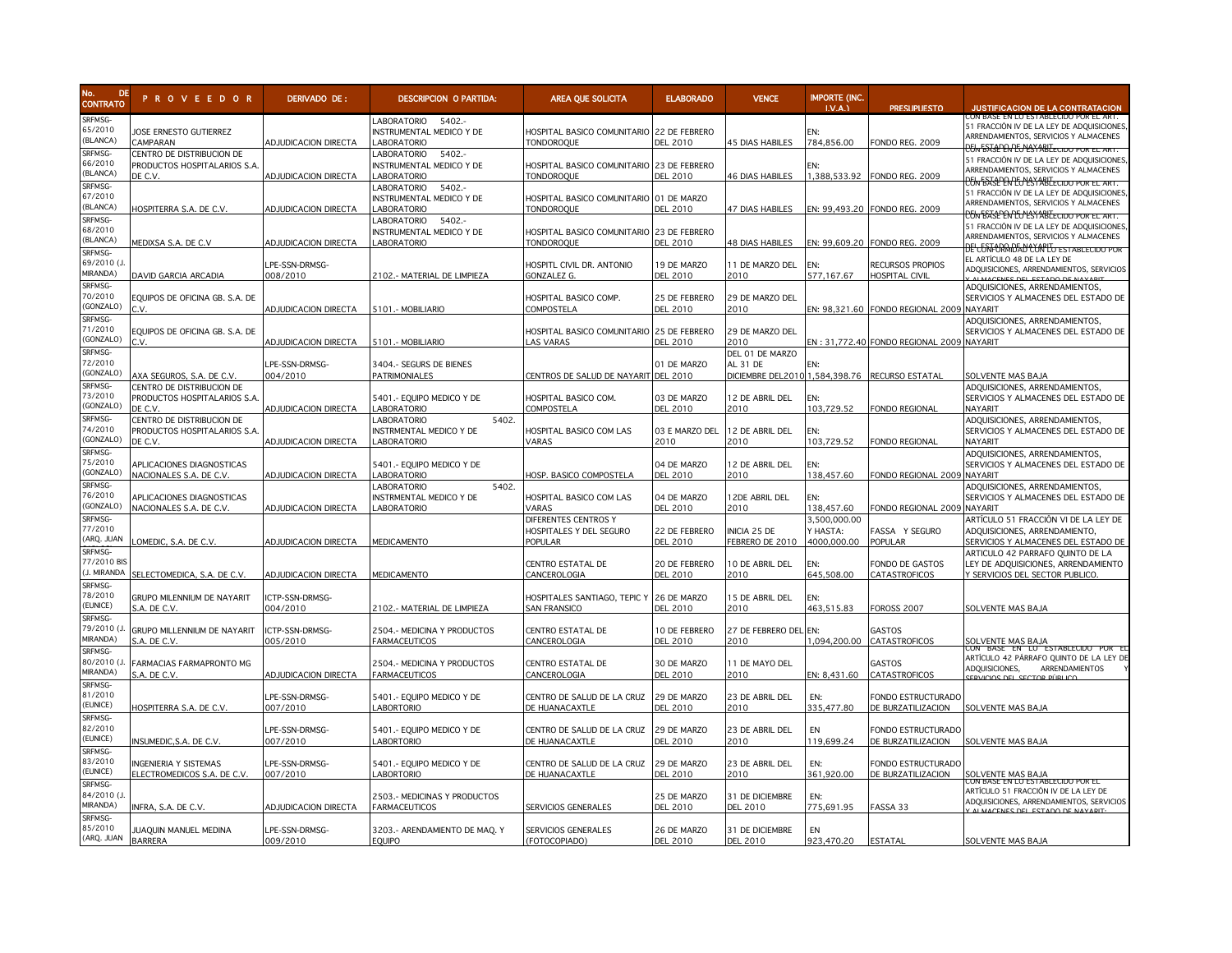

| No.<br>DE<br><b>CONTRATO</b>              | <b>PROVEEDOR</b>                                                     | DERIVADO DE:                | <b>DESCRIPCION O PARTIDA:</b>                                                | <b>AREA QUE SOLICITA</b>                                       | <b>ELABORADO</b>                 | <b>VENCE</b>                                                                  | <b>IMPORTE (INC.</b><br>LV.A.           | <b>PRESUPUESTO</b>                        | <b>JUSTIFICACION DE LA CONTRATACION</b>                                                                                                                                               |
|-------------------------------------------|----------------------------------------------------------------------|-----------------------------|------------------------------------------------------------------------------|----------------------------------------------------------------|----------------------------------|-------------------------------------------------------------------------------|-----------------------------------------|-------------------------------------------|---------------------------------------------------------------------------------------------------------------------------------------------------------------------------------------|
| SRFMSG-<br>65/2010<br>(BLANCA)            | JOSE ERNESTO GUTIERREZ<br>CAMPARAN                                   | <b>ADJUDICACION DIRECTA</b> | LABORATORIO<br>5402.-<br>INSTRUMENTAL MEDICO Y DE<br>ABORATORIO              | HOSPITAL BASICO COMUNITARIO 22 DE FEBRERO<br><b>TONDOROQUE</b> | DFL 2010                         | <b>45 DIAS HABILES</b>                                                        | EN:<br>784.856.00                       | <b>FONDO REG. 2009</b>                    | ON BASE EN LO ESTABLECIDO POR EL ART.<br>51 FRACCIÓN IV DE LA LEY DE ADQUISICIONES<br>ARRENDAMIENTOS, SERVICIOS Y ALMACENES<br>CONTEASE EN COLSY ABLECTDO POR EL ART.                 |
| SRFMSG-<br>66/2010<br>(BLANCA)            | CENTRO DE DISTRIBUCION DE<br>PRODUCTOS HOSPITALARIOS S.A.<br>DE C.V. | <b>ADJUDICACION DIRECTA</b> | 5402.-<br><b>ABORATORIO</b><br>INSTRUMENTAL MEDICO Y DE<br>ABORATORIO        | HOSPITAL BASICO COMUNITARIO 23 DE FEBRERO<br><b>TONDOROQUE</b> | <b>DEL 2010</b>                  | <b>46 DIAS HABILES</b>                                                        | EN:<br>1,388,533.92                     | FONDO REG. 2009                           | 51 FRACCIÓN IV DE LA LEY DE ADQUISICIONES<br>ARRENDAMIENTOS, SERVICIOS Y ALMACENES<br>CONTEASE EN COLSYMBLECTOO POR EL ART.                                                           |
| SRFMSG-<br>67/2010<br>(BLANCA)            | IOSPITERRA S.A. DE C.V.                                              | <b>ADJUDICACION DIRECTA</b> | LABORATORIO<br>5402.<br>INSTRUMENTAL MEDICO Y DE<br>ABORATORIO               | HOSPITAL BASICO COMUNITARIO 01 DE MARZO<br><b>TONDOROQUE</b>   | <b>DEL 2010</b>                  | <b>47 DIAS HABILES</b>                                                        |                                         | EN: 99,493.20 FONDO REG. 2009             | 51 FRACCIÓN IV DE LA LEY DE ADQUISICIONES<br>ARRENDAMIENTOS, SERVICIOS Y ALMACENES                                                                                                    |
| SRFMSG-<br>68/2010<br>(BLANCA)            | MEDIXSA S.A. DE C.V                                                  | ADJUDICACION DIRECTA        | <b>ABORATORIO</b><br>5402.-<br>INSTRUMENTAL MEDICO Y DE<br><b>ABORATORIO</b> | HOSPITAL BASICO COMUNITARIO 23 DE FEBRERO<br><b>TONDOROQUE</b> | <b>DEL 2010</b>                  | <b>48 DIAS HABILES</b>                                                        | EN: 99,609.20                           | FONDO REG. 2009                           | <u>P5K BASEPEN PEMESYABLE CIDO POR EL ART.</u><br>51 FRACCIÓN IV DE LA LEY DE ADQUISICIONES<br>ARRENDAMIENTOS, SERVICIOS Y ALMACENES<br><u>DE' CONFORMIDAD' CONTO ESTABLECIDO POR</u> |
| SRFMSG-<br>69/2010 (J<br>MIRANDA)         | DAVID GARCIA ARCADIA                                                 | LPE-SSN-DRMSG-<br>008/2010  | 102.- MATERIAL DE LIMPIEZA                                                   | HOSPITL CIVIL DR. ANTONIO<br>GONZALEZ G.                       | 19 DE MARZO<br><b>DEL 2010</b>   | 11 DE MARZO DEL<br>2010                                                       | FN·<br>577,167.67                       | RECURSOS PROPIOS<br><b>HOSPITAL CIVIL</b> | EL ARTÍCULO 48 DE LA LEY DE<br>ADQUISICIONES, ARRENDAMIENTOS, SERVICIOS<br>ALMACENES DEL ESTADO DE NAVADIT                                                                            |
| SRFMSG-<br>70/2010<br>GONZALO)            | EQUIPOS DE OFICINA GB. S.A. DE<br>ੇV.                                | ADJUDICACION DIRECTA        | 5101.- MOBILIARIO                                                            | HOSPITAL BASICO COMP.<br>COMPOSTELA                            | 25 DE FEBRERO<br><b>DEL 2010</b> | 29 DE MARZO DEL<br>2010                                                       |                                         | EN: 98,321.60 FONDO REGIONAL 2009 NAYARIT | ADQUISICIONES, ARRENDAMIENTOS,<br>SERVICIOS Y ALMACENES DEL ESTADO DE                                                                                                                 |
| SRFMSG-<br>71/2010<br>GONZALO)            | EQUIPOS DE OFICINA GB. S.A. DE<br>$\sim$                             | <b>ADJUDICACION DIRECTA</b> | 5101.- MOBILIARIO                                                            | HOSPITAL BASICO COMUNITARIO 25 DE FEBRERO<br>LAS VARAS         | <b>DEL 2010</b>                  | 29 DE MARZO DEL<br>2010                                                       |                                         | EN: 31,772.40 FONDO REGIONAL 2009 NAYARIT | ADQUISICIONES, ARRENDAMIENTOS,<br>SERVICIOS Y ALMACENES DEL ESTADO DE                                                                                                                 |
| SRFMSG-<br>72/2010<br>(GONZALO)           | AXA SEGUROS, S.A. DE C.V.                                            | LPE-SSN-DRMSG-<br>004/2010  | 3404 .- SEGURS DE BIENES<br>PATRIMONIALES                                    | CENTROS DE SALUD DE NAYARIT DEL 2010                           | 01 DE MARZO                      | DEL 01 DE MARZO<br>AL 31 DE<br>DICIEMBRE DEL2010 1,584,398.76 RECURSO ESTATAL |                                         |                                           | SOLVENTE MAS BAJA                                                                                                                                                                     |
| SRFMSG-<br>73/2010<br>GONZALO)            | CENTRO DE DISTRIBUCION DE<br>PRODUCTOS HOSPITALARIOS S.A.<br>DE C.V. | <b>ADJUDICACION DIRECTA</b> | 5401.- Equipo medico y de<br>ABORATORIO                                      | HOSPITAL BASICO COM.<br>COMPOSTELA                             | 03 DE MARZO<br><b>DEL 2010</b>   | 12 DE ABRIL DEL<br>2010                                                       | EN:<br>103,729.52                       | FONDO REGIONAL                            | ADQUISICIONES, ARRENDAMIENTOS,<br>SERVICIOS Y ALMACENES DEL ESTADO DE<br>NAYARIT                                                                                                      |
| SRFMSG-<br>4/2010<br>GONZALO)             | CENTRO DE DISTRIBUCION DE<br>PRODUCTOS HOSPITALARIOS S.A<br>DE C.V.  | ADJUDICACION DIRECTA        | 5402.<br><b>ABORATORIO</b><br>INSTRMENTAL MEDICO Y DE<br>LABORATORIO         | HOSPITAL BASICO COM LAS<br>VARAS                               | 03 E MARZO DEL<br>2010           | 12 DE ABRIL DEL<br>2010                                                       | FN:<br>103,729.52                       | FONDO REGIONAL                            | ADQUISICIONES, ARRENDAMIENTOS,<br>SERVICIOS Y ALMACENES DEL ESTADO DE<br>NAYARIT                                                                                                      |
| SRFMSG-<br>5/2010<br>(GONZALO)            | APLICACIONES DIAGNOSTICAS<br>NACIONALES S.A. DE C.V.                 | ADJUDICACION DIRECTA        | 5401.- Equipo medico y de<br>ABORATORIO                                      | HOSP. BASICO COMPOSTELA                                        | 04 DE MARZO<br><b>DEL 2010</b>   | 12 DE ABRIL DEL<br>2010                                                       | FN:<br>138,457.60                       | FONDO REGIONAL 2009 NAYARIT               | ADQUISICIONES, ARRENDAMIENTOS,<br>SERVICIOS Y ALMACENES DEL ESTADO DE                                                                                                                 |
| SRFMSG-<br>76/2010<br>(GONZALO)           | APLICACIONES DIAGNOSTICAS<br>NACIONALES S.A. DE C.V.                 | <b>ADJUDICACION DIRECTA</b> | 5402.<br><b>ABORATORIO</b><br>INSTRMENTAL MEDICO Y DE<br>LABORATORIO         | HOSPITAL BASICO COM LAS<br>VARAS                               | 04 DE MARZO<br><b>DEL 2010</b>   | 12DE ABRIL DEL<br>2010                                                        | EN:<br>138.457.60                       | FONDO REGIONAL 2009 NAYARIT               | ADQUISICIONES, ARRENDAMIENTOS,<br>SERVICIOS Y ALMACENES DEL ESTADO DE                                                                                                                 |
| SRFMSG-<br>77/2010<br>ARQ. JUAN           | OMEDIC, S.A. DE C.V.                                                 | <b>ADJUDICACION DIRECTA</b> | MEDICAMENTO                                                                  | DIFERENTES CENTROS Y<br>HOSPITALES Y DEL SEGURO<br>POPULAR     | 22 DE FEBRERO<br><b>DEL 2010</b> | INICIA 25 DE<br>FEBRERO DE 2010                                               | 3,500,000.00<br>Y HASTA:<br>4000.000.00 | FASSA Y SEGURO<br>POPULAR                 | ARTÍCULO 51 FRACCIÓN VI DE LA LEY DE<br>ADQUISICIONES, ARRENDAMIENTO,<br>SERVICIOS Y ALMACENES DEL ESTADO DE                                                                          |
| SRFMSG-<br>77/2010 BIS<br>J. MIRANDA      | SELECTOMEDICA, S.A. DE C.V.                                          | ADJUDICACION DIRECTA        | <b>MEDICAMENTO</b>                                                           | CENTRO ESTATAL DE<br>CANCEROLOGIA                              | 20 DE FEBRERO<br><b>DEL 2010</b> | 10 DE ABRIL DEL<br>2010                                                       | EN:<br>645,508.00                       | FONDO DE GASTOS<br>CATASTROFICOS          | ARTICULO 42 PARRAFO QUINTO DE LA<br>LEY DE ADQUISICIONES, ARRENDAMIENTO<br>Y SERVICIOS DEL SECTOR PUBLICO.                                                                            |
| SRFMSG-<br>78/2010<br>(EUNICE)            | GRUPO MILENNIUM DE NAYARIT<br>S.A. DE C.V.                           | ICTP-SSN-DRMSG-<br>004/2010 | 102.- MATERIAL DE LIMPIEZA                                                   | HOSPITALES SANTIAGO, TEPIC Y<br><b>SAN FRANSICO</b>            | 26 DE MARZO<br><b>DEL 2010</b>   | 15 DE ABRIL DEL<br>2010                                                       | FN:<br>463,515.83                       | FOROSS 2007                               | SOLVENTE MAS BAJA                                                                                                                                                                     |
| SRFMSG-<br>79/2010 (.<br>MIRANDA)         | GRUPO MILLENNIUM DE NAYARIT<br>S.A. DE C.V.                          | ICTP-SSN-DRMSG-<br>005/2010 | 2504.- MEDICINA Y PRODUCTOS<br>FARMACEUTICOS                                 | CENTRO ESTATAL DE<br>CANCEROLOGIA                              | 10 DE FEBRERO<br><b>DEL 2010</b> | 27 DE FEBRERO DEL<br>2010                                                     | EN:<br>1.094.200.00                     | GASTOS<br><b>CATASTROFICOS</b>            | SOLVENTE MAS BAJA                                                                                                                                                                     |
| SRFMSG-<br>80/2010 (J<br>MIRANDA)         | FARMACIAS FARMAPRONTO MG<br>S.A. DE C.V.                             | <b>ADJUDICACION DIRECTA</b> | 2504.- MEDICINA Y PRODUCTOS<br><b>FARMACEUTICOS</b>                          | CENTRO ESTATAL DE<br>CANCEROLOGIA                              | 30 DE MARZO<br><b>DEL 2010</b>   | 11 DE MAYO DEL<br>2010                                                        | EN: 8,431.60                            | GASTOS<br>CATASTROFICOS                   | BASE EN LU ES<br>ARTÍCULO 42 PÁRRAFO QUINTO DE LA LEY DE<br>ADQUISICIONES,<br>ARRENDAMIENTOS                                                                                          |
| SRFMSG-<br>81/2010<br>(EUNICE)<br>SRFMSG- | HOSPITERRA S.A. DE C.V.                                              | _PE-SSN-DRMSG-<br>007/2010  | 5401.- Equipo medico y de<br><b>ABORTORIO</b>                                | CENTRO DE SALUD DE LA CRUZ<br>DE HUANACAXTLE                   | 29 DE MARZO<br><b>DEL 2010</b>   | 23 DE ABRIL DEL<br>2010                                                       | EN:<br>335,477.80                       | FONDO ESTRUCTURADO<br>DE BURZATILIZACION  | SOLVENTE MAS BAJA                                                                                                                                                                     |
| 82/2010<br>(EUNICE)                       | NSUMEDIC, S.A. DE C.V.                                               | _PE-SSN-DRMSG-<br>007/2010  | 5401.- Equipo medico y de<br>ABORTORIO                                       | CENTRO DE SALUD DE LA CRUZ<br>DE HUANACAXTLE                   | 29 DE MARZO<br><b>DEL 2010</b>   | 23 DE ABRIL DEL<br>2010                                                       | EN<br>119,699.24                        | FONDO ESTRUCTURADO<br>DE BURZATILIZACION  | SOLVENTE MAS BAJA                                                                                                                                                                     |
| SRFMSG-<br>83/2010<br>(EUNICE)            | NGENIERIA Y SISTEMAS<br>ELECTROMEDICOS S.A. DE C.V.                  | LPE-SSN-DRMSG-<br>007/2010  | 5401.- Equipo medico y de<br>ABORTORIO                                       | CENTRO DE SALUD DE LA CRUZ<br>DE HUANACAXTLE                   | 29 DE MARZO<br><b>DEL 2010</b>   | 23 DE ABRIL DEL<br>2010                                                       | EN:<br>361,920.00                       | FONDO ESTRUCTURADO<br>DE BURZATILIZACION  | SOLVENTE MAS BAJA                                                                                                                                                                     |
| SRFMSG-<br>84/2010 (J<br>MIRANDA)         | NFRA, S.A. DE C.V.                                                   | <b>ADJUDICACION DIRECTA</b> | 2503.- MEDICINAS Y PRODUCTOS<br><b>FARMACEUTICOS</b>                         | SERVICIOS GENERALES                                            | 25 DE MARZO<br><b>DEL 2010</b>   | 31 DE DICIEMBRE<br><b>DEL 2010</b>                                            | EN:<br>775,691.95                       | FASSA 33                                  | JUN BASE EN LU ESTABLECIDU PUR EL<br>ARTÍCULO 51 FRACCIÓN IV DE LA LEY DE<br>ADQUISICIONES, ARRENDAMIENTOS, SERVICIOS                                                                 |
| SRFMSG-<br>85/2010<br>(ARQ. JUAN          | JUAQUIN MANUEL MEDINA<br><b>BARRERA</b>                              | LPE-SSN-DRMSG-<br>009/2010  | 3203.- ARENDAMIENTO DE MAQ. Y<br><b>EQUIPO</b>                               | SERVICIOS GENERALES<br>(FOTOCOPIADO)                           | 26 DE MARZO<br><b>DEL 2010</b>   | 31 DE DICIEMBRE<br><b>DEL 2010</b>                                            | EN<br>923,470.20                        | ESTATAL                                   | SOLVENTE MAS BAJA                                                                                                                                                                     |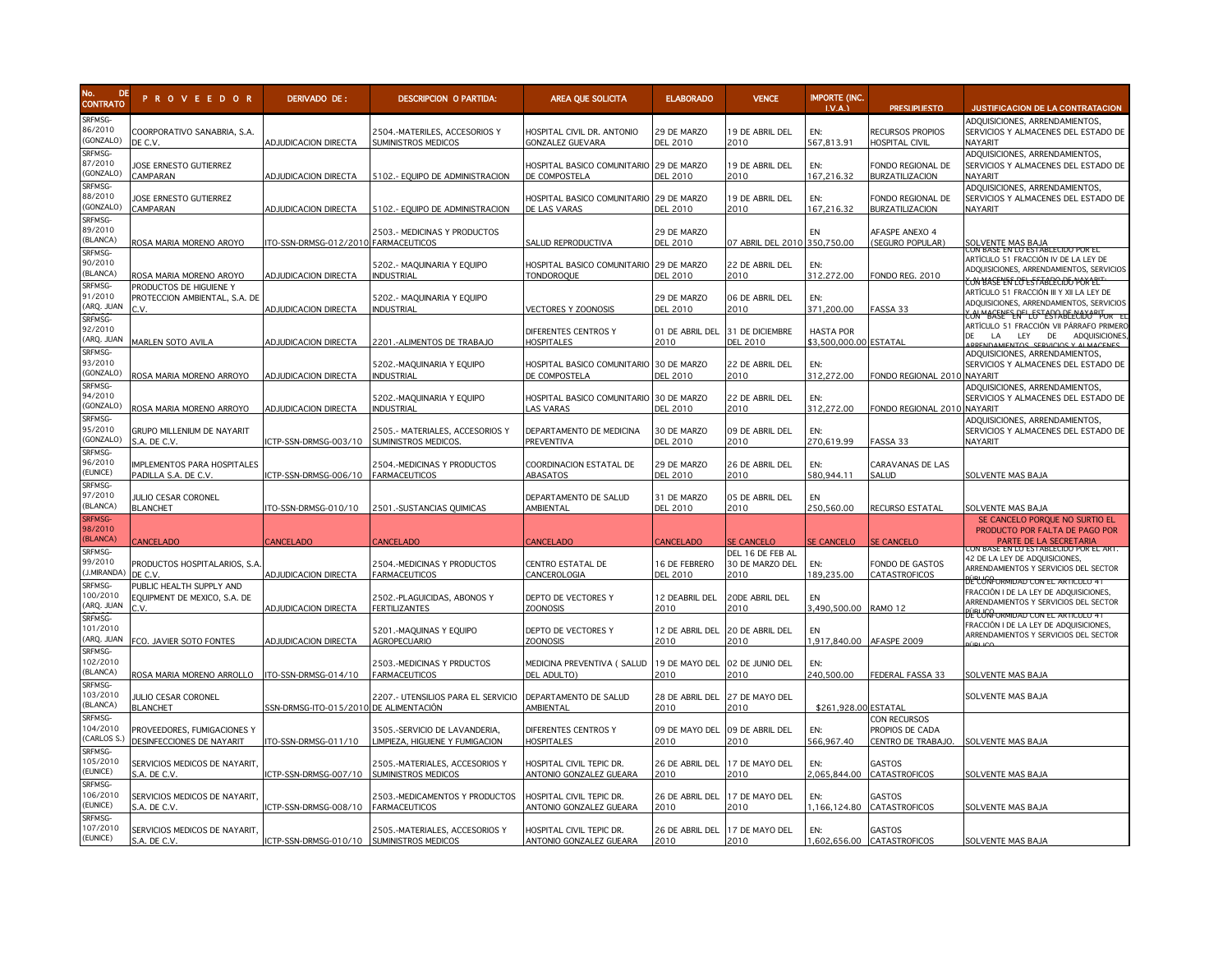

| No.<br>DE.<br><b>CONTRATO</b>               | <b>PROVEEDOR</b>                                                 | DERIVADO DE:                        | <b>DESCRIPCION O PARTIDA:</b>                                    | AREA QUE SOLICITA                                            | <b>ELABORADO</b>                 | <b>VENCE</b>                                | <b>IMPORTE (INC.</b><br>LVA.               | <b>PRESUPUESTO</b>                                                      | <b>JUSTIFICACION DE LA CONTRATACION</b>                                                                                                          |
|---------------------------------------------|------------------------------------------------------------------|-------------------------------------|------------------------------------------------------------------|--------------------------------------------------------------|----------------------------------|---------------------------------------------|--------------------------------------------|-------------------------------------------------------------------------|--------------------------------------------------------------------------------------------------------------------------------------------------|
| SRFMSG-<br>86/2010<br>(GONZALO)             | COORPORATIVO SANABRIA, S.A.<br>DE C.V.                           | ADJUDICACION DIRECTA                | 2504.-MATERILES, ACCESORIOS Y<br>SUMINISTROS MEDICOS             | HOSPITAL CIVIL DR. ANTONIO<br>GONZALEZ GUEVARA               | 29 DE MARZO<br>DEL 2010          | 19 DE ABRIL DEL<br>2010                     | EN:<br>567,813.91                          | RECURSOS PROPIOS<br><b>IOSPITAL CIVIL</b>                               | ADQUISICIONES, ARRENDAMIENTOS,<br>SERVICIOS Y ALMACENES DEL ESTADO DE<br>NAYARIT                                                                 |
| SRFMSG-<br>87/2010<br>GONZALO)              | IOSE ERNESTO GUTIERREZ<br><b>AMPARAN</b>                         | <b>ADJUDICACION DIRECTA</b>         | 5102.- EQUIPO DE ADMINISTRACION                                  | HOSPITAL BASICO COMUNITARIO 29 DE MARZO<br>DE COMPOSTELA     | DEL 2010                         | 19 DE ABRIL DEL<br>2010                     | EN:<br>167,216.32                          | ONDO REGIONAL DE<br><b>BURZATILIZACION</b>                              | ADQUISICIONES, ARRENDAMIENTOS,<br>SERVICIOS Y ALMACENES DEL ESTADO DE<br>NAYARIT                                                                 |
| SRFMSG-<br>88/2010<br>(GONZALO)             | IOSE ERNESTO GUTIERREZ<br><b>CAMPARAN</b>                        | ADJUDICACION DIRECTA                | 5102 .- EQUIPO DE ADMINISTRACION                                 | HOSPITAL BASICO COMUNITARIO 29 DE MARZO<br>DE LAS VARAS      | <b>DEL 2010</b>                  | 19 DE ABRIL DEL<br>2010                     | EN:<br>167,216.32                          | ONDO REGIONAL DE<br><b>BURZATILIZACION</b>                              | ADQUISICIONES, ARRENDAMIENTOS,<br>SERVICIOS Y ALMACENES DEL ESTADO DE<br>NAYARIT                                                                 |
| SRFMSG-<br>89/2010<br>(BLANCA)              | ROSA MARIA MORENO AROYO                                          | TO-SSN-DRMSG-012/2010 FARMACEUTICOS | 2503.- MEDICINAS Y PRODUCTOS                                     | SALUD REPRODUCTIVA                                           | 29 DE MARZO<br>DEL 2010          | 07 ABRIL DEL 2010 350,750.00                | EN                                         | AFASPE ANEXO 4<br><b>SEGURO POPULAR)</b>                                | <b>SOLVENTE MAS BAJA</b><br>CON BASE EN LO ESTABLECIDO POR EL                                                                                    |
| SRFMSG-<br>90/2010<br>(BLANCA)              | ROSA MARIA MORENO AROYO                                          | <b>ADJUDICACION DIRECTA</b>         | 5202 .- MAQUINARIA Y EQUIPO<br>INDUSTRIAL                        | HOSPITAL BASICO COMUNITARIO 29 DE MARZO<br><b>TONDOROQUE</b> | DEL 2010                         | 22 DE ABRIL DEL<br>2010                     | EN:<br>312.272.00                          | FONDO REG. 2010                                                         | ARTÍCULO 51 FRACCIÓN IV DE LA LEY DE<br>ADQUISICIONES, ARRENDAMIENTOS, SERVICIOS<br><del>Y.ON MASE YES I REL 5 FABIT P.I.DEO VOK 1-P</del>       |
| SRFMSG-<br>91/2010<br>ARQ. JUAN             | PRODUCTOS DE HIGUIENE Y<br>PROTECCION AMBIENTAL, S.A. DE<br>C.V. | <b>ADJUDICACION DIRECTA</b>         | 5202 .- MAQUINARIA Y EQUIPO<br><b>INDUSTRIAL</b>                 | VECTORES Y ZOONOSIS                                          | 29 DE MARZO<br><b>DEL 2010</b>   | 06 DE ABRIL DEL<br>2010                     | EN:<br>371,200.00                          | FASSA 33                                                                | ARTÍCULO 51 FRACCIÓN III Y XII LA LEY DE<br>ADQUISICIONES, ARRENDAMIENTOS, SERVICIOS<br><del>čon MBASEF E.RFI LEST ESPABELECITO PITOR - EL</del> |
| SRFMSG-<br>92/2010<br>ARQ. JUAN             | MARLEN SOTO AVILA                                                | <b>ADJUDICACION DIRECTA</b>         | 2201.-ALIMENTOS DE TRABAJO                                       | DIFERENTES CENTROS Y<br><b>HOSPITALES</b>                    | 01 DE ABRIL DEL<br>2010          | 31 DE DICIEMBRE<br><b>DEL 2010</b>          | <b>HASTA POR</b><br>\$3,500,000.00 ESTATAL |                                                                         | ARTÍCULO 51 FRACCIÓN VII PÁRRAFO PRIMERO<br>ADQUISICIONES.<br>LEY<br>DE<br>$\overline{A}$<br>DAMIENTOS SERVICIOS Y ALMACENES                     |
| SRFMSG-<br>93/2010<br>(GONZALO)             | ROSA MARIA MORENO ARROYO                                         | <b>ADJUDICACION DIRECTA</b>         | 5202.-MAQUINARIA Y EQUIPO<br><b>INDUSTRIAL</b>                   | HOSPITAL BASICO COMUNITARIO 30 DE MARZO<br>DE COMPOSTELA     | DEL 2010                         | 22 DE ABRIL DEL<br>2010                     | EN:<br>312,272.00                          | FONDO REGIONAL 2010 NAYARIT                                             | ADQUISICIONES, ARRENDAMIENTOS,<br>SERVICIOS Y ALMACENES DEL ESTADO DE                                                                            |
| SRFMSG-<br>94/2010<br>GONZALO)              | ROSA MARIA MORENO ARROYO                                         | <b>ADJUDICACION DIRECTA</b>         | 5202.-MAQUINARIA Y EQUIPO<br>Industrial                          | HOSPITAL BASICO COMUNITARIO 30 DE MARZO<br>AS VARAS          | DEL 2010                         | 22 DE ABRIL DEL<br>2010                     | EN:<br>312,272.00                          | FONDO REGIONAL 2010 NAYARIT                                             | ADQUISICIONES, ARRENDAMIENTOS,<br>SERVICIOS Y ALMACENES DEL ESTADO DE                                                                            |
| SRFMSG-<br>95/2010<br>GONZALO)              | <b>GRUPO MILLENIUM DE NAYARIT</b><br>s.a. de c.v.                | CTP-SSN-DRMSG-003/10                | 2505.- MATERIALES, ACCESORIOS Y<br>SUMINISTROS MEDICOS.          | DEPARTAMENTO DE MEDICINA<br><b>PREVENTIVA</b>                | 30 DE MARZO<br>DEL 2010          | 09 DE ABRIL DEL<br>2010                     | EN:<br>270,619.99                          | FASSA 33                                                                | ADQUISICIONES, ARRENDAMIENTOS,<br>SERVICIOS Y ALMACENES DEL ESTADO DE<br>NAYARIT                                                                 |
| SRFMSG-<br>96/2010<br>EUNICE)               | IMPLEMENTOS PARA HOSPITALES<br>PADILLA S.A. DE C.V.              | ICTP-SSN-DRMSG-006/10               | <b>2504.-MEDICINAS Y PRODUCTOS</b><br><b>FARMACEUTICOS</b>       | COORDINACION ESTATAL DE<br>ABASATOS                          | 29 DE MARZO<br><b>DEL 2010</b>   | 26 DE ABRIL DEL<br>2010                     | EN:<br>580.944.11                          | CARAVANAS DE LAS<br>SALUD                                               | SOLVENTE MAS BAJA                                                                                                                                |
| SRFMSG-<br>97/2010<br>(BLANCA)              | JULIO CESAR CORONEL<br><b>BLANCHET</b>                           | TO-SSN-DRMSG-010/10                 | 2501.-SUSTANCIAS QUIMICAS                                        | DEPARTAMENTO DE SALUD<br>AMBIENTAL                           | 31 DE MARZO<br><b>DEL 2010</b>   | 05 DE ABRIL DEL<br>2010                     | EN<br>250,560.00                           | RECURSO ESTATAL                                                         | SOLVENTE MAS BAJA                                                                                                                                |
| <b>SRFMSG-</b><br>98/2010<br><b>BLANCA)</b> | <b>ANCELADO</b>                                                  | <b>CANCELADO</b>                    | <b>CANCELADO</b>                                                 | CANCELADO                                                    | CANCELADO                        | <b>SE CANCELO</b>                           | SE CANCELO                                 | <b>E CANCELO</b>                                                        | SE CANCELO PORQUE NO SURTIO EL<br>PRODUCTO POR FALTA DE PAGO POR<br>PARTE DE LA SECRETARIA                                                       |
| SRFMSG-<br>99/2010<br><b>J.MIRANDA</b>      | PRODUCTOS HOSPITALARIOS, S.A<br>DE C.V.                          | <b>ADJUDICACION DIRECTA</b>         | 2504.-MEDICINAS Y PRODUCTOS<br><b>FARMACEUTICOS</b>              | CENTRO ESTATAL DE<br>CANCEROLOGIA                            | 16 DE FEBRERO<br><b>DEL 2010</b> | DEL 16 DE FEB AL<br>30 DE MARZO DEL<br>2010 | EN:<br>189,235.00                          | ONDO DE GASTOS<br>CATASTROFICOS                                         | SASE EN LU ESTABLECIDO POR EL<br>12 DE LA LEY DE ADQUISICIONES,<br>ARRENDAMIENTOS Y SERVICIOS DEL SECTOR                                         |
| SRFMSG-<br>100/2010<br>ARQ. JUAN            | PUBLIC HEALTH SUPPLY AND<br>EQUIPMENT DE MEXICO, S.A. DE         | <b>ADJUDICACION DIRECTA</b>         | 2502.-PLAGUICIDAS, ABONOS Y<br><b>FERTILIZANTES</b>              | DEPTO DE VECTORES Y<br><b>ZOONOSIS</b>                       | 12 DEABRIL DEL<br>2010           | 20DE ABRIL DEL<br>2010                      | EN<br>3,490,500.00                         | RAMO <sub>12</sub>                                                      | <u>JELUMFORMIDAD CON EL ARTICULO 4</u><br>FRACCIÓN I DE LA LEY DE ADQUISICIONES,<br>ARRENDAMIENTOS Y SERVICIOS DEL SECTOR                        |
| SRFMSG-<br>101/2010<br>ARQ. JUAN            | FCO. JAVIER SOTO FONTES                                          | <b>ADJUDICACION DIRECTA</b>         | 5201.-MAQUINAS Y EQUIPO<br><b>AGROPECUARIO</b>                   | DEPTO DE VECTORES Y<br><b>ZOONOSIS</b>                       | 12 DE ABRIL DEL<br>2010          | 20 DE ABRIL DEL<br>2010                     | EN<br>1,917,840.00 AFASPE 2009             |                                                                         | <u>BELUMFORMIDAD CON EL ARTICULO 41</u><br>FRACCIÓN I DE LA LEY DE ADQUISICIONES,<br>ARRENDAMIENTOS Y SERVICIOS DEL SECTOR                       |
| SRFMSG-<br>102/2010<br>BLANCA)              | ROSA MARIA MORENO ARROLLO                                        | ITO-SSN-DRMSG-014/10                | 2503.-MEDICINAS Y PRDUCTOS<br>ARMACEUTICOS                       | MEDICINA PREVENTIVA ( SALUD<br><b>DEL ADULTO)</b>            | 19 DE MAYO DEL<br>2010           | 02 DE JUNIO DEL<br>2010                     | EN:<br>240,500.00                          | FEDERAL FASSA 33                                                        | SOLVENTE MAS BAJA                                                                                                                                |
| SRFMSG-<br>103/2010<br>BLANCA)              | JULIO CESAR CORONEL<br><b>BLANCHET</b>                           | SSN-DRMSG-ITO-015/201               | 2207.- UTENSILIOS PARA EL SERVICIO<br>DE ALIMENTACIÓN            | DEPARTAMENTO DE SALUD<br>AMBIENTAL                           | 28 DE ABRIL DEL<br>2010          | 27 DE MAYO DEL<br>2010                      | \$261,928.00 ESTATAL                       |                                                                         | SOLVENTE MAS BAJA                                                                                                                                |
| SRFMSG-<br>104/2010<br>CARLOS S.            | PROVEEDORES, FUMIGACIONES Y<br>DESINFECCIONES DE NAYARIT         | ITO-SSN-DRMSG-011/10                | 3505.-SERVICIO DE LAVANDERIA,<br>LIMPIEZA, HIGUIENE Y FUMIGACION | DIFERENTES CENTROS Y<br><b>HOSPITALES</b>                    | 09 DE MAYO DEL<br>2010           | 09 DE ABRIL DEL<br>2010                     | EN:<br>566.967.40                          | CON RECURSOS<br>Propios de Cada<br>CENTRO DE TRABAJO. SOLVENTE MAS BAJA |                                                                                                                                                  |
| SRFMSG-<br>105/2010<br>EUNICE)              | SERVICIOS MEDICOS DE NAYARIT,<br>S.A. DE C.V.                    | CTP-SSN-DRMSG-007/10                | 2505.-MATERIALES, ACCESORIOS Y<br>SUMINISTROS MEDICOS            | HOSPITAL CIVIL TEPIC DR.<br>ANTONIO GONZALEZ GUEARA          | 26 DE ABRIL DEL<br>2010          | 17 DE MAYO DEL<br>2010                      | EN:<br>2,065,844.00                        | GASTOS<br><b>CATASTROFICOS</b>                                          | SOLVENTE MAS BAJA                                                                                                                                |
| SRFMSG-<br>106/2010<br>EUNICE)              | SERVICIOS MEDICOS DE NAYARIT,<br>S.A. DE C.V.                    | CTP-SSN-DRMSG-008/10                | <b>2503.-MEDICAMENTOS Y PRODUCTOS</b><br><b>FARMACEUTICOS</b>    | HOSPITAL CIVIL TEPIC DR.<br>ANTONIO GONZALEZ GUEARA          | 26 DE ABRIL DEL<br>2010          | 17 DE MAYO DEL<br>2010                      | EN:<br>1,166,124.80                        | GASTOS<br><b>CATASTROFICOS</b>                                          | SOLVENTE MAS BAJA                                                                                                                                |
| SRFMSG-<br>107/2010<br>EUNICE)              | SERVICIOS MEDICOS DE NAYARIT,<br>S.A. DE C.V.                    | ICTP-SSN-DRMSG-010/10               | 2505.-MATERIALES, ACCESORIOS Y<br>SUMINISTROS MEDICOS            | HOSPITAL CIVIL TEPIC DR.<br>ANTONIO GONZALEZ GUEARA          | 26 DE ABRIL DEL<br>2010          | 17 DE MAYO DEL<br>2010                      | EN:<br>1,602,656.00                        | GASTOS<br><b>CATASTROFICOS</b>                                          | SOLVENTE MAS BAJA                                                                                                                                |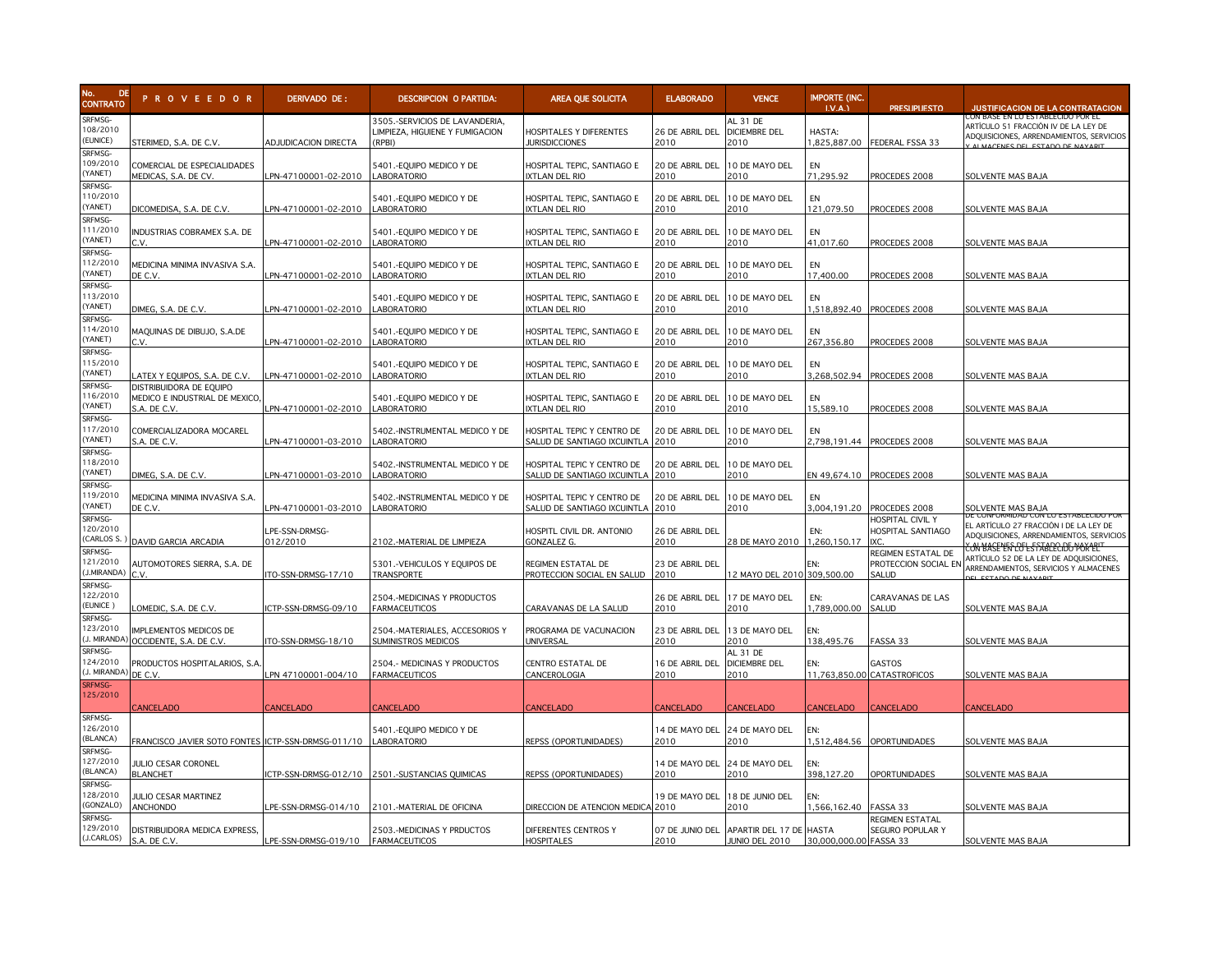

| <b>DE</b><br>No.<br><b>CONTRATO</b>       | <b>PROVEEDOR</b>                                                          | DERIVADO DE:                | DESCRIPCION O PARTIDA:                                                      | AREA QUE SOLICITA                                              | <b>ELABORADO</b>                      | <b>VENCE</b>                                              | <b>IMPORTE (INC.</b><br>LV.A. | <b>PRESUPUESTO</b>                                  | <b>JUSTIFICACION DE LA CONTRATACION</b>                                                                                                     |
|-------------------------------------------|---------------------------------------------------------------------------|-----------------------------|-----------------------------------------------------------------------------|----------------------------------------------------------------|---------------------------------------|-----------------------------------------------------------|-------------------------------|-----------------------------------------------------|---------------------------------------------------------------------------------------------------------------------------------------------|
| SRFMSG-<br>108/2010<br>EUNICE)            | STERIMED. S.A. DE C.V.                                                    | <b>ADJUDICACION DIRECTA</b> | 3505.-SERVICIOS DE LAVANDERIA,<br>LIMPIEZA, HIGUIENE Y FUMIGACION<br>(RPBI) | HOSPITALES Y DIFERENTES<br><b>JURISDICCIONES</b>               | 26 DE ABRIL DEL<br>2010               | AL 31 DE<br><b>DICIEMBRE DEL</b><br>2010                  | HASTA:<br>1.825.887.00        | FEDERAL FSSA 33                                     | CON BASE EN LO ESTABLECIDO POR EL<br>ARTÍCULO 51 FRACCIÓN IV DE LA LEY DE<br>ADQUISICIONES, ARRENDAMIENTOS, SERVICIOS                       |
| SRFMSG-<br>09/2010<br>YANET)              | COMERCIAL DE ESPECIALIDADES<br>MEDICAS, S.A. DE CV.                       | PN-47100001-02-2010         | 5401.-EQUIPO MEDICO Y DE<br><b>ABORATORIO</b>                               | HOSPITAL TEPIC, SANTIAGO E<br>XTLAN DEL RIO                    | 20 DE ABRIL DEL<br>2010               | 10 DE MAYO DEL<br>2010                                    | EN<br>71,295.92               | PROCEDES 2008                                       | SOLVENTE MAS BAJA                                                                                                                           |
| <b>RFMSG-</b><br>10/2010<br>YANET)        | DICOMEDISA, S.A. DE C.V.                                                  | PN-47100001-02-2010         | 5401.-EQUIPO MEDICO Y DE<br><b>ABORATORIO</b>                               | HOSPITAL TEPIC, SANTIAGO E<br><b>XTLAN DEL RIO</b>             | 20 DE ABRIL DEL<br>2010               | 10 DE MAYO DEL<br>2010                                    | EN<br>121.079.50              | PROCEDES 2008                                       | SOLVENTE MAS BAJA                                                                                                                           |
| SRFMSG-<br>111/2010<br>YANET)             | INDUSTRIAS COBRAMEX S.A. DE<br>C.V.                                       | PN-47100001-02-2010         | 5401.-EQUIPO MEDICO Y DE<br><b>LABORATORIO</b>                              | HOSPITAL TEPIC, SANTIAGO E<br><b>XTLAN DEL RIO</b>             | 20 DE ABRIL DEL<br>2010               | 10 DE MAYO DEL<br>2010                                    | EN<br>41.017.60               | PROCEDES 2008                                       | SOLVENTE MAS BAJA                                                                                                                           |
| SRFMSG-<br>12/2010<br>YANET)<br>SRFMSG-   | MEDICINA MINIMA INVASIVA S.A.<br>DE C.V.                                  | PN-47100001-02-2010         | 5401.-EQUIPO MEDICO Y DE<br>LABORATORIO                                     | HOSPITAL TEPIC, SANTIAGO E<br>XTLAN DEL RIO                    | 20 DE ABRIL DEL<br>2010               | 10 DE MAYO DEL<br>2010                                    | EN<br>17,400.00               | PROCEDES 2008                                       | SOLVENTE MAS BAJA                                                                                                                           |
| 113/2010<br>YANET)<br>SRFMSG-             | DIMEG, S.A. DE C.V.                                                       | PN-47100001-02-2010         | 5401.-EQUIPO MEDICO Y DE<br><b>ABORATORIO</b>                               | HOSPITAL TEPIC, SANTIAGO E<br><b>XTLAN DEL RIO</b>             | 20 DE ABRIL DEL<br>2010               | 10 DE MAYO DEL<br>2010                                    | EN                            | 1,518,892.40 PROCEDES 2008                          | SOLVENTE MAS BAJA                                                                                                                           |
| 14/2010<br>YANET)<br>SRFMSG-              | MAQUINAS DE DIBUJO, S.A.DE<br>C.V.                                        | PN-47100001-02-2010         | 5401.-EQUIPO MEDICO Y DE<br><b>ABORATORIO</b>                               | HOSPITAL TEPIC, SANTIAGO E<br><b>XTLAN DEL RIO</b>             | 20 DE ABRIL DEL<br>2010               | 10 DE MAYO DEL<br>2010                                    | EN<br>267,356.80              | PROCEDES 2008                                       | SOLVENTE MAS BAJA                                                                                                                           |
| 115/2010<br>YANET)<br>SRFMSG-             | ATEX Y EQUIPOS, S.A. DE C.V.                                              | PN-47100001-02-2010         | 5401.-EQUIPO MEDICO Y DE<br><b>LABORATORIO</b>                              | HOSPITAL TEPIC, SANTIAGO E<br><b>XTLAN DEL RIO</b>             | 20 DE ABRIL DEL<br>2010               | 10 DE MAYO DEL<br>2010                                    | <b>FN</b><br>3,268,502.94     | PROCEDES 2008                                       | SOLVENTE MAS BAJA                                                                                                                           |
| 16/2010<br>YANET)<br>SRFMSG-              | DISTRIBUIDORA DE EQUIPO<br>MEDICO E INDUSTRIAL DE MEXICO.<br>S.A. DE C.V. | PN-47100001-02-2010         | 5401 .- EQUIPO MEDICO Y DE<br><b>ABORATORIO</b>                             | HOSPITAL TEPIC, SANTIAGO E<br>XTLAN DEL RIO                    | 20 DE ABRIL DEL<br>2010               | 10 DE MAYO DEL<br>2010                                    | EN<br>15,589.10               | PROCEDES 2008                                       | SOLVENTE MAS BAJA                                                                                                                           |
| 117/2010<br>YANET)<br>SRFMSG-             | COMERCIALIZADORA MOCAREL<br>›.A. DE C.V.                                  | PN-47100001-03-2010         | 5402.-INSTRUMENTAL MEDICO Y DE<br>LABORATORIO                               | HOSPITAL TEPIC Y CENTRO DE<br>SALUD DE SANTIAGO IXCUINTLA 2010 | 20 DE ABRIL DEL                       | 10 DE MAYO DEL<br>2010                                    | EN                            | 2,798,191.44 PROCEDES 2008                          | SOLVENTE MAS BAJA                                                                                                                           |
| 18/2010<br>YANET)                         | DIMEG, S.A. DE C.V.                                                       | PN-47100001-03-2010         | 5402.-INSTRUMENTAL MEDICO Y DE<br><b>ABORATORIO</b>                         | HOSPITAL TEPIC Y CENTRO DE<br>SALUD DE SANTIAGO IXCUINTLA      | 20 DE ABRIL DEL<br>2010               | 10 DE MAYO DEL<br>2010                                    | EN 49,674.10                  | PROCEDES 2008                                       | SOLVENTE MAS BAJA                                                                                                                           |
| SRFMSG-<br>119/2010<br>YANET)<br>SRFMSG-  | MEDICINA MINIMA INVASIVA S.A.<br>DE C.V.                                  | PN-47100001-03-2010         | 5402.-INSTRUMENTAL MEDICO Y DE<br><b>LABORATORIO</b>                        | HOSPITAL TEPIC Y CENTRO DE<br>SALUD DE SANTIAGO IXCUINTLA 2010 | 20 DE ABRIL DEL                       | 10 DE MAYO DEL<br>2010                                    | EN<br>3,004,191.20            | PROCEDES 2008                                       | SOLVENTE MAS BAJA<br>JE CONFORMIDAD CON LO ES                                                                                               |
| 120/2010<br>CARLOS S.<br>SRFMSG-          | DAVID GARCIA ARCADIA                                                      | LPE-SSN-DRMSG-<br>012/2010  | 2102.-MATERIAL DE LIMPIEZA                                                  | HOSPITL CIVIL DR. ANTONIO<br>GONZALEZ G.                       | 26 DE ABRIL DEL<br>2010               | 28 DE MAYO 2010                                           | FN:<br>1,260,150.17           | HOSPITAL CIVIL Y<br>HOSPITAL SANTIAGO<br><b>IXC</b> | EL ARTÍCULO 27 FRACCIÓN I DE LA LEY DE<br>ADQUISICIONES, ARRENDAMIENTOS, SERVICIOS<br><del>. ON MASE LIN LOT LE STABLEC IDTO MOX LELT</del> |
| 121/2010<br>J.MIRANDA)<br>SRFMSG-         | AUTOMOTORES SIERRA, S.A. DE<br>C.V                                        | ITO-SSN-DRMSG-17/10         | 5301.-VEHICULOS Y EQUIPOS DE<br><b>TRANSPORTE</b>                           | REGIMEN ESTATAL DE<br>PROTECCION SOCIAL EN SALUD               | 23 DE ABRIL DEL<br>2010               | 12 MAYO DEL 2010 309,500.00                               | EN:                           | REGIMEN ESTATAL DE<br>PROTECCION SOCIAL EN<br>SALUD | ARTÍCULO 52 DE LA LEY DE ADQUISICIONES,<br>ARRENDAMIENTOS, SERVICIOS Y ALMACENES<br><b>CLECTADO DE MAVAR</b>                                |
| 122/2010<br>EUNICE)<br>SRFMSG-            | OMEDIC, S.A. DE C.V.                                                      | CTP-SSN-DRMSG-09/10         | 2504.-MEDICINAS Y PRODUCTOS<br><b>FARMACEUTICOS</b>                         | CARAVANAS DE LA SALUD                                          | 26 DE ABRIL DEL<br>2010               | 17 DE MAYO DEL<br>2010                                    | EN:<br>1,789,000.00           | CARAVANAS DE LAS<br>SALUD                           | SOLVENTE MAS BAJA                                                                                                                           |
| 123/2010<br>J. MIRANDA<br>SRFMSG-         | IMPLEMENTOS MEDICOS DE<br>OCCIDENTE, S.A. DE C.V.                         | ITO-SSN-DRMSG-18/10         | 2504.-MATERIALES, ACCESORIOS Y<br>SUMINISTROS MEDICOS                       | PROGRAMA DE VACUNACION<br>UNIVERSAL                            | 23 DE ABRIL DEL<br>2010               | 13 DE MAYO DEL<br>2010                                    | EN:<br>138,495.76             | FASSA 33                                            | SOLVENTE MAS BAJA                                                                                                                           |
| 124/2010<br>J. MIRANDA)<br><b>SRFMSG-</b> | PRODUCTOS HOSPITALARIOS, S.A<br>DE C.V.                                   | PN 47100001-004/10          | 2504.- MEDICINAS Y PRODUCTOS<br><b>FARMACEUTICOS</b>                        | CENTRO ESTATAL DE<br><b>CANCEROLOGIA</b>                       | 16 DE ABRIL DEI<br>2010               | AL 31 DE<br><b>DICIEMBRE DEL</b><br>2010                  | EN:                           | GASTOS<br>11,763,850.00 CATASTROFICOS               | SOLVENTE MAS BAJA                                                                                                                           |
| 25/2010<br>SRFMSG-                        | <b>ANCELADO</b>                                                           | <b>ANCELADO</b>             | <b>CANCELADO</b>                                                            | CANCELADO                                                      | <b>CANCELADO</b>                      | CANCELADO                                                 | CANCELADO                     | CANCELADO                                           | CANCELADO                                                                                                                                   |
| 126/2010<br><b>BLANCA)</b>                | FRANCISCO JAVIER SOTO FONTES                                              | ICTP-SSN-DRMSG-011/10       | 5401.-EQUIPO MEDICO Y DE<br>LABORATORIO                                     | REPSS (OPORTUNIDADES)                                          | 14 DE MAYO DEL<br>2010                | 24 DE MAYO DEL<br>2010                                    | EN:<br>1,512,484.56           | OPORTUNIDADES                                       | SOLVENTE MAS BAJA                                                                                                                           |
| SRFMSG-<br>127/2010<br><b>BLANCA)</b>     | JULIO CESAR CORONEL<br><b>BLANCHET</b>                                    | CTP-SSN-DRMSG-012/10        | 2501.-SUSTANCIAS OUIMICAS                                                   | REPSS (OPORTUNIDADES)                                          | 14 DE MAYO DEL 24 DE MAYO DEL<br>2010 | 2010                                                      | EN:<br>398.127.20             | <b>OPORTUNIDADES</b>                                | SOLVENTE MAS BAJA                                                                                                                           |
| SRFMSG-<br>28/2010<br>GONZALO)            | JULIO CESAR MARTINEZ<br>ANCHONDO                                          | PE-SSN-DRMSG-014/10         | 2101.-MATERIAL DE OFICINA                                                   | DIRECCION DE ATENCION MEDICA 2010                              | 19 DE MAYO DEL                        | 18 de junio del<br>2010                                   | EN:<br>1,566,162.40           | FASSA 33                                            | SOLVENTE MAS BAJA                                                                                                                           |
| SRFMSG-<br>29/2010<br>J.CARLOS)           | DISTRIBUIDORA MEDICA EXPRESS,<br>S.A. DE C.V.                             | PE-SSN-DRMSG-019/10         | 2503.-MEDICINAS Y PRDUCTOS<br><b>FARMACEUTICOS</b>                          | DIFERENTES CENTROS Y<br>HOSPITALES                             | 2010                                  | 07 DE JUNIO DEL APARTIR DEL 17 DE HASTA<br>JUNIO DEL 2010 | 30,000,000.00 FASSA 33        | REGIMEN ESTATAL<br>SEGURO POPULAR Y                 | SOLVENTE MAS BAJA                                                                                                                           |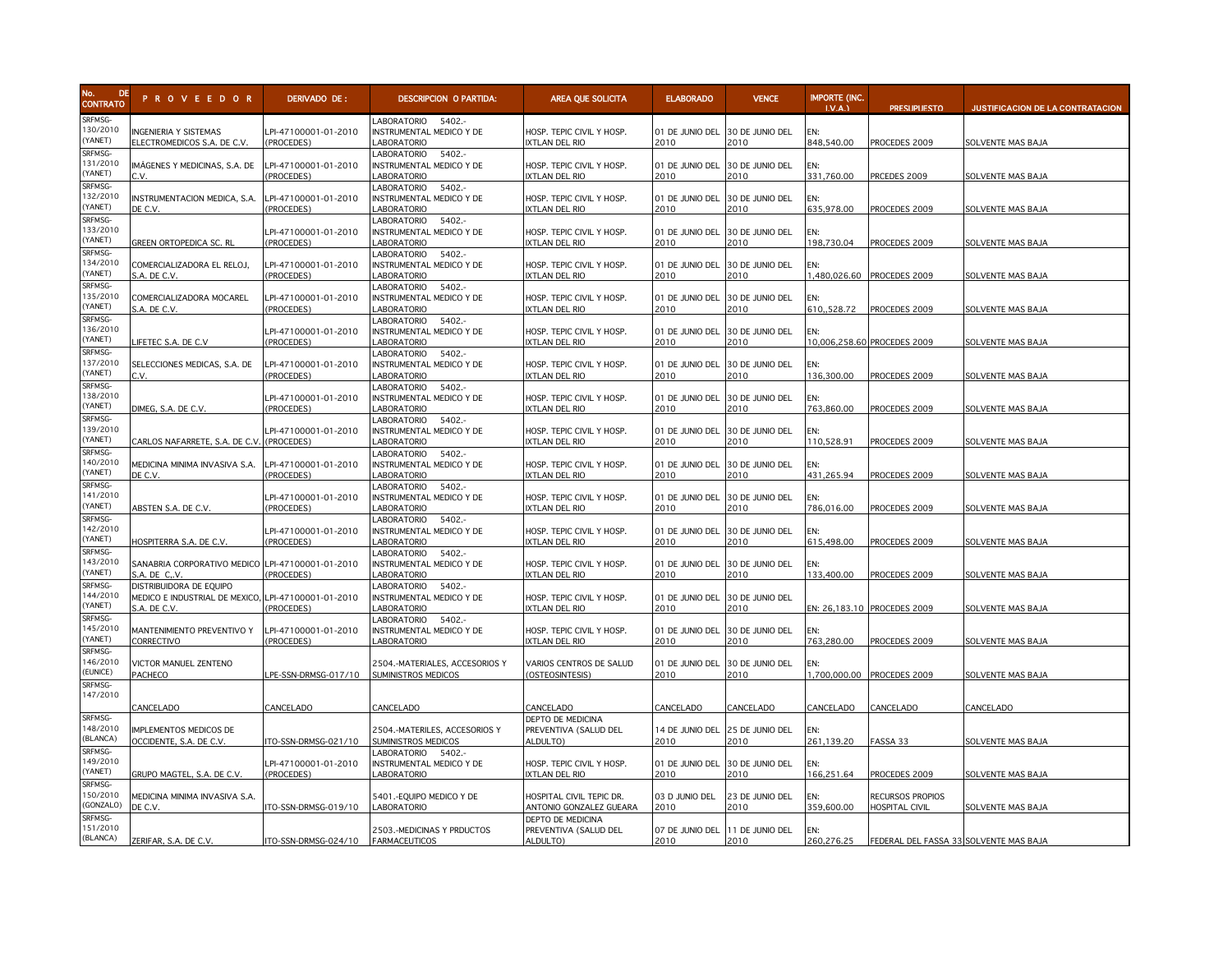

| No.<br><b>DE</b><br><b>CONTRATO</b>      | <b>PROVEEDOR</b>                                                          | DERIVADO DE:                       | <b>DESCRIPCION O PARTIDA:</b>                                                 | AREA QUE SOLICITA                                      | <b>ELABORADO</b>                        | <b>VENCE</b>            | <b>IMPORTE (INC.</b><br>LV.A. | <b>PRESUPUESTO</b>                        | <b>JUSTIFICACION DE LA CONTRATACION</b> |
|------------------------------------------|---------------------------------------------------------------------------|------------------------------------|-------------------------------------------------------------------------------|--------------------------------------------------------|-----------------------------------------|-------------------------|-------------------------------|-------------------------------------------|-----------------------------------------|
| SRFMSG-<br>130/2010<br>YANET)            | <b>INGENIERIA Y SISTEMAS</b><br>ELECTROMEDICOS S.A. DE C.V.               | LPI-47100001-01-2010<br>(PROCEDES) | LABORATORIO 5402 .-<br>INSTRUMENTAL MEDICO Y DE<br><b>ABORATORIO</b>          | HOSP. TEPIC CIVIL Y HOSP.<br><b>XTLAN DEL RIO</b>      | 01 DE JUNIO DEL<br>2010                 | 30 DE JUNIO DEL<br>2010 | EN:<br>848.540.00             | PROCEDES 2009                             | SOLVENTE MAS BAJA                       |
| SRFMSG-<br>131/2010<br>(YANET)           | IMÁGENES Y MEDICINAS, S.A. DE<br>C.V.                                     | LPI-47100001-01-2010<br>PROCEDES)  | 5402 .-<br><b>ABORATORIO</b><br>INSTRUMENTAL MEDICO Y DE<br>ABORATORIO        | HOSP. TEPIC CIVIL Y HOSP.<br>XTLAN DEL RIO             | 01 DE JUNIO DEL<br>2010                 | 30 DE JUNIO DEL<br>2010 | FN:<br>331,760.00             | PRCEDES 2009                              | SOLVENTE MAS BAJA                       |
| SRFMSG-<br>132/2010<br>(YANET)           | INSTRUMENTACION MEDICA, S.A.<br>DE C.V.                                   | LPI-47100001-01-2010<br>PROCEDES)  | <b>ABORATORIO</b><br>5402.<br>NSTRUMENTAL MEDICO Y DE<br>ABORATORIO           | HOSP. TEPIC CIVIL Y HOSP.<br><b>XTLAN DEL RIO</b>      | 01 DE JUNIO DEL<br>2010                 | 30 DE JUNIO DEL<br>2010 | EN:<br>635,978.00             | PROCEDES 2009                             | SOLVENTE MAS BAJA                       |
| SRFMSG-<br>133/2010<br>(YANET)           | GREEN ORTOPEDICA SC. RL                                                   | LPI-47100001-01-2010<br>(PROCEDES) | ABORATORIO<br>5402.-<br>INSTRUMENTAL MEDICO Y DE<br><b>ABORATORIO</b>         | HOSP. TEPIC CIVIL Y HOSP.<br>XTLAN DEL RIO             | 01 DE JUNIO DEL<br>2010                 | 30 DE JUNIO DEL<br>2010 | EN:<br>198,730.04             | PROCEDES 2009                             | SOLVENTE MAS BAJA                       |
| SRFMSG-<br>134/2010<br>(YANET)           | COMERCIALIZADORA EL RELOJ,<br>S.A. DE C.V.                                | LPI-47100001-01-2010<br>(PROCEDES) | 5402 .-<br><b>ABORATORIO</b><br>INSTRUMENTAL MEDICO Y DE<br><b>ABORATORIO</b> | HOSP. TEPIC CIVIL Y HOSP.<br>IXTLAN DEL RIO            | 01 DE JUNIO DEL<br>2010                 | 30 DE JUNIO DEL<br>2010 | EN:<br>1,480,026.60           | PROCEDES 2009                             | <b>SOLVENTE MAS BAJA</b>                |
| SRFMSG-<br>135/2010<br>(YANET)           | COMERCIALIZADORA MOCAREL<br>S.A. DE C.V.                                  | LPI-47100001-01-2010<br>(PROCEDES) | 5402 .-<br>ABORATORIO<br>INSTRUMENTAL MEDICO Y DE<br><b>ABORATORIO</b>        | HOSP. TEPIC CIVIL Y HOSP.<br>IXTLAN DEL RIO            | 01 DE JUNIO DEL<br>2010                 | 30 DE JUNIO DEL<br>2010 | EN:<br>610, 528.72            | PROCEDES 2009                             | SOLVENTE MAS BAJA                       |
| SRFMSG-<br>136/2010<br>(YANET)           | LIFETEC S.A. DE C.V                                                       | PI-47100001-01-2010<br>(PROCEDES)  | <b>ABORATORIO</b><br>5402 .-<br>NSTRUMENTAL MEDICO Y DE<br>ABORATORIO         | HOSP. TEPIC CIVIL Y HOSP.<br><b>IXTLAN DEL RIO</b>     | 01 DE JUNIO DEL<br>2010                 | 30 DE JUNIO DEL<br>2010 | EN:                           | 10,006,258.60 PROCEDES 2009               | <b>SOLVENTE MAS BAJA</b>                |
| SRFMSG-<br>137/2010<br>(YANET)           | SELECCIONES MEDICAS, S.A. DE<br>C.V.                                      | LPI-47100001-01-2010<br>(PROCEDES) | 5402 .-<br>ABORATORIO<br>INSTRUMENTAL MEDICO Y DE<br><b>ABORATORIO</b>        | HOSP. TEPIC CIVIL Y HOSP.<br>IXTLAN DEL RIO            | 01 DE JUNIO DEL<br>2010                 | 30 DE JUNIO DEL<br>2010 | EN:<br>136,300.00             | PROCEDES 2009                             | SOLVENTE MAS BAJA                       |
| SRFMSG-<br>138/2010<br>YANET)            | DIMEG, S.A. DE C.V.                                                       | PI-47100001-01-2010<br>PROCEDES)   | 5402 .-<br>ABORATORIO<br>NSTRUMENTAL MEDICO Y DE<br><b>ABORATORIO</b>         | HOSP. TEPIC CIVIL Y HOSP.<br>XTLAN DEL RIO             | 01 DE JUNIO DEL<br>2010                 | 30 DE JUNIO DEL<br>2010 | EN:<br>763,860.00             | PROCEDES 2009                             | SOLVENTE MAS BAJA                       |
| SRFMSG-<br>139/2010<br>YANET)            | CARLOS NAFARRETE, S.A. DE C.V.                                            | LPI-47100001-01-2010<br>(PROCEDES) | ABORATORIO<br>5402.<br>INSTRUMENTAL MEDICO Y DE<br>ABORATORIO                 | HOSP. TEPIC CIVIL Y HOSP.<br><b>XTLAN DEL RIO</b>      | 01 DE JUNIO DEL<br>2010                 | 30 DE JUNIO DEL<br>2010 | EN:<br>110.528.91             | PROCEDES 2009                             | SOLVENTE MAS BAJA                       |
| SRFMSG-<br>140/2010<br>(YANET)           | MEDICINA MINIMA INVASIVA S.A.<br>DE C.V.                                  | LPI-47100001-01-2010<br>(PROCEDES) | ABORATORIO<br>5402.<br>NSTRUMENTAL MEDICO Y DE<br>ABORATORIO                  | HOSP. TEPIC CIVIL Y HOSP.<br><b>IXTLAN DEL RIO</b>     | 01 DE JUNIO DEL<br>2010                 | 30 DE JUNIO DEL<br>2010 | EN:<br>431.265.94             | PROCEDES 2009                             | SOLVENTE MAS BAJA                       |
| SRFMSG-<br>141/2010<br>YANET)            | ABSTEN S.A. DE C.V.                                                       | LPI-47100001-01-2010<br>(PROCEDES) | ABORATORIO<br>5402.-<br>INSTRUMENTAL MEDICO Y DE<br><b>ABORATORIO</b>         | HOSP. TEPIC CIVIL Y HOSP.<br><b>XTLAN DEL RIO</b>      | 01 DE JUNIO DEL<br>2010                 | 30 DE JUNIO DEL<br>2010 | EN:<br>786,016.00             | PROCEDES 2009                             | SOLVENTE MAS BAJA                       |
| SRFMSG-<br>142/2010<br>YANET)            | HOSPITERRA S.A. DE C.V.                                                   | LPI-47100001-01-2010<br>(PROCEDES) | <b>ABORATORIO</b><br>5402 .-<br>INSTRUMENTAL MEDICO Y DE<br>ABORATORIO        | HOSP. TEPIC CIVIL Y HOSP.<br><b>XTLAN DEL RIO</b>      | 01 DE JUNIO DEL<br>2010                 | 30 DE JUNIO DEL<br>2010 | EN:<br>615,498.00             | PROCEDES 2009                             | SOLVENTE MAS BAJA                       |
| SRFMSG-<br>43/2010<br>YANET)             | SANABRIA CORPORATIVO MEDICO LPI-47100001-01-2010<br>S.A. DE C.V.          | (PROCEDES)                         | <b>ABORATORIO</b><br>5402.<br><b>INSTRUMENTAL MEDICO Y DE</b><br>ABORATORIO   | HOSP. TEPIC CIVIL Y HOSP.<br><b>IXTLAN DEL RIO</b>     | 01 DE JUNIO DEL<br>2010                 | 30 DE JUNIO DEL<br>2010 | EN:<br>133,400.00             | PROCEDES 2009                             | SOLVENTE MAS BAJA                       |
| SRFMSG-<br>144/2010<br>(YANET)           | DISTRIBUIDORA DE EQUIPO<br>MEDICO E INDUSTRIAL DE MEXICO,<br>S.A. DE C.V. | LPI-47100001-01-2010<br>(PROCEDES) | ABORATORIO<br>5402.-<br>INSTRUMENTAL MEDICO Y DE<br><b>ABORATORIO</b>         | HOSP. TEPIC CIVIL Y HOSP.<br>XTLAN DEL RIO             | 01 DE JUNIO DEL<br>2010                 | 30 DE JUNIO DEL<br>2010 |                               | EN: 26,183.10 PROCEDES 2009               | SOLVENTE MAS BAJA                       |
| SRFMSG-<br>145/2010<br>YANET)            | MANTENIMIENTO PREVENTIVO Y<br>CORRECTIVO                                  | LPI-47100001-01-2010<br>PROCEDES)  | <b>ABORATORIO</b><br>5402.-<br>INSTRUMENTAL MEDICO Y DE<br><b>ABORATORIO</b>  | HOSP. TEPIC CIVIL Y HOSP.<br><b>XTLAN DEL RIO</b>      | 01 DE JUNIO DEL<br>2010                 | 30 DE JUNIO DEL<br>2010 | EN:<br>763,280.00             | PROCEDES 2009                             | <b>SOLVENTE MAS BAJA</b>                |
| SRFMSG-<br>46/2010<br>EUNICE)<br>SRFMSG- | VICTOR MANUEL ZENTENO<br>PACHECO                                          | PE-SSN-DRMSG-017/10                | 2504.-MATERIALES, ACCESORIOS Y<br>SUMINISTROS MEDICOS                         | VARIOS CENTROS DE SALUD<br>(OSTEOSINTESIS)             | 01 DE JUNIO DEL<br>2010                 | 30 DE JUNIO DEL<br>2010 | FN:                           | 1,700,000.00 PROCEDES 2009                | SOLVENTE MAS BAJA                       |
| 147/2010                                 | CANCELADO                                                                 | CANCELADO                          | CANCELADO                                                                     | CANCELADO                                              | CANCELADO                               | CANCELADO               | CANCELADO                     | CANCELADO                                 | CANCELADO                               |
| SRFMSG-<br>148/2010<br>(BLANCA)          | MPLEMENTOS MEDICOS DE<br>OCCIDENTE, S.A. DE C.V.                          | TO-SSN-DRMSG-021/10                | 2504.-MATERILES, ACCESORIOS Y<br>SUMINISTROS MEDICOS                          | DEPTO DE MEDICINA<br>PREVENTIVA (SALUD DEL<br>ALDULTO) | 14 DE JUNIO DEL<br>2010                 | 25 DE JUNIO DEL<br>2010 | EN:<br>261,139.20             | FASSA 33                                  | <b>SOLVENTE MAS BAJA</b>                |
| SRFMSG-<br>149/2010<br>(YANET)           | GRUPO MAGTEL, S.A. DE C.V.                                                | LPI-47100001-01-2010<br>(PROCEDES) | LABORATORIO 5402.-<br>INSTRUMENTAL MEDICO Y DE<br><b>ABORATORIO</b>           | HOSP. TEPIC CIVIL Y HOSP.<br><b>XTLAN DEL RIO</b>      | 01 DE JUNIO DEL<br>2010                 | 30 DE JUNIO DEL<br>2010 | EN:<br>166,251.64             | PROCEDES 2009                             | SOLVENTE MAS BAJA                       |
| SRFMSG-<br>150/2010<br>GONZALO)          | MEDICINA MINIMA INVASIVA S.A.<br>DE C.V.                                  | TO-SSN-DRMSG-019/10                | 5401.-EQUIPO MEDICO Y DE<br><b>ABORATORIO</b>                                 | HOSPITAL CIVIL TEPIC DR.<br>ANTONIO GONZALEZ GUEARA    | 03 D JUNIO DEL<br>2010                  | 23 DE JUNIO DEL<br>2010 | EN:<br>359,600.00             | RECURSOS PROPIOS<br><b>HOSPITAL CIVIL</b> | SOLVENTE MAS BAJA                       |
| SRFMSG-<br>151/2010<br>(BLANCA)          | ZERIFAR, S.A. DE C.V.                                                     | ITO-SSN-DRMSG-024/10               | 2503.-MEDICINAS Y PRDUCTOS<br><b>FARMACEUTICOS</b>                            | DEPTO DE MEDICINA<br>PREVENTIVA (SALUD DEL<br>ALDULTO) | 07 DE JUNIO DEL 11 DE JUNIO DEL<br>2010 | 2010                    | EN:<br>260,276.25             | FEDERAL DEL FASSA 33 SOLVENTE MAS BAJA    |                                         |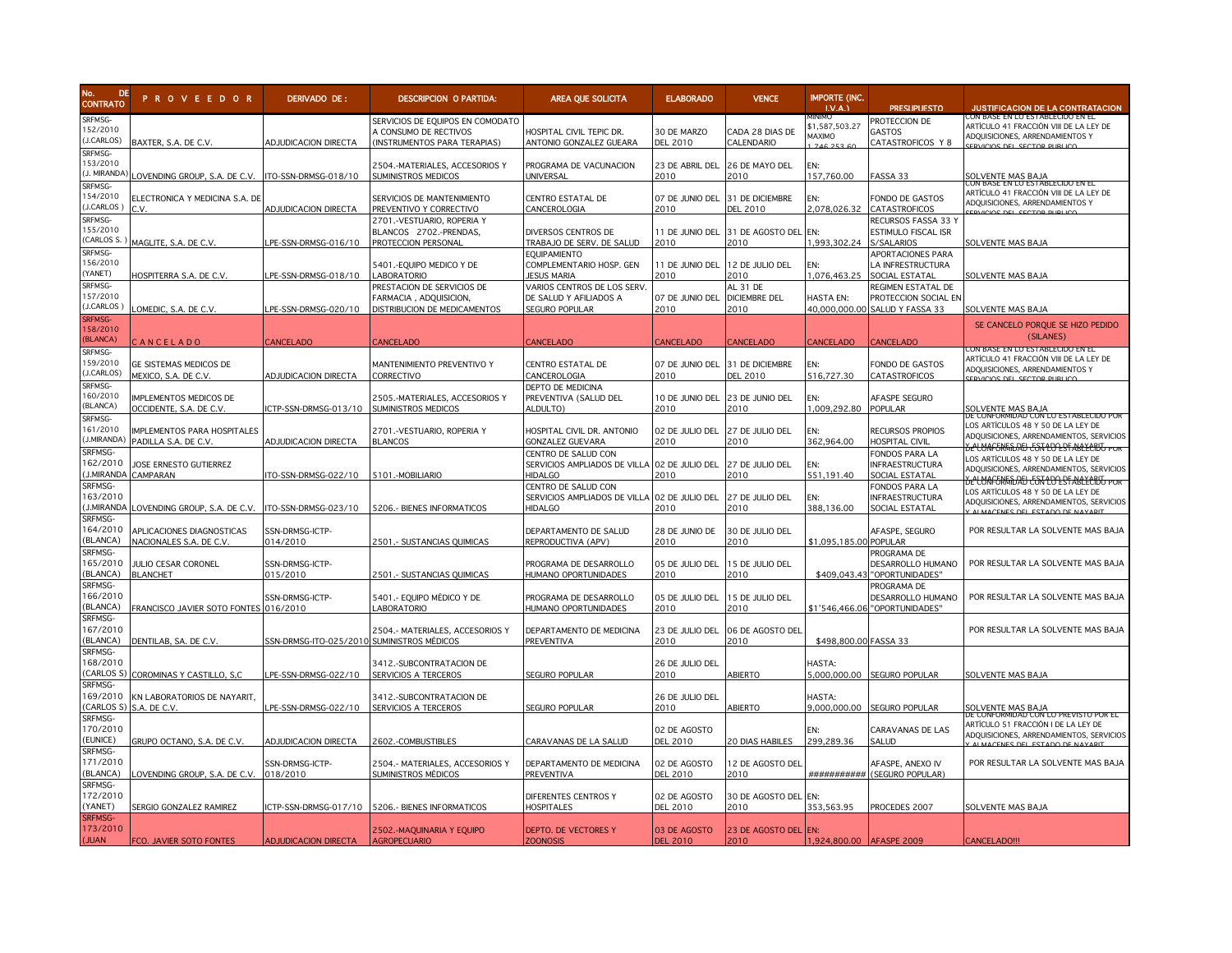

| DE<br><b>CONTRATO</b>                        | <b>PROVEEDOR</b>                                         | DERIVADO DE:                              | <b>DESCRIPCION O PARTIDA:</b>                                                             | AREA QUE SOLICITA                                                                     | <b>ELABORADO</b>                | <b>VENCE</b>                             | <b>IMPORTE (INC.</b><br>I.V.A.  | <b>PRESUPUESTO</b>                                                           | <b>JUSTIFICACION DE LA CONTRATACION</b>                                                                                                    |
|----------------------------------------------|----------------------------------------------------------|-------------------------------------------|-------------------------------------------------------------------------------------------|---------------------------------------------------------------------------------------|---------------------------------|------------------------------------------|---------------------------------|------------------------------------------------------------------------------|--------------------------------------------------------------------------------------------------------------------------------------------|
| SRFMSG-<br>152/2010<br>(J.CARLOS)<br>SRFMSG- | BAXTER, S.A. DE C.V.                                     | ADJUDICACION DIRECTA                      | SERVICIOS DE EQUIPOS EN COMODATO<br>A CONSUMO DE RECTIVOS<br>(INSTRUMENTOS PARA TERAPIAS) | HOSPITAL CIVIL TEPIC DR.<br>ANTONIO GONZALEZ GUEARA                                   | 30 DE MARZO<br>DEL 2010         | CADA 28 DIAS DE<br>CALENDARIO            | \$1,587,503.27<br>MAXIMO        | PROTECCION DE<br>GASTOS<br>CATASTROFICOS Y 8                                 | JON BASE EN LO ESTABLECIDO EN EL<br>ARTÍCULO 41 FRACCIÓN VIII DE LA LEY DE<br>ADQUISICIONES, ARRENDAMIENTOS Y                              |
| 153/2010<br>(J. MIRANDA)                     | LOVENDING GROUP, S.A. DE C.V. TTO-SSN-DRMSG-018/10       |                                           | 2504.-MATERIALES, ACCESORIOS Y<br>SUMINISTROS MEDICOS                                     | PROGRAMA DE VACUNACION<br>UNIVERSAL                                                   | 23 DE ABRIL DEL<br>2010         | 26 DE MAYO DEL<br>2010                   | EN:<br>157,760.00               | FASSA 33                                                                     | <b>SOLVENTE MAS BAJA</b>                                                                                                                   |
| SRFMSG-<br>154/2010<br>J.CARLOS 1            | ELECTRONICA Y MEDICINA S.A. DE<br>C.V.                   | <b>ADJUDICACION DIRECTA</b>               | SERVICIOS DE MANTENIMIENTO<br>PREVENTIVO Y CORRECTIVO                                     | CENTRO ESTATAL DE<br>CANCEROLOGIA                                                     | 07 DE JUNIO DEL<br>2010         | 31 DE DICIEMBRE<br><b>DEL 2010</b>       | EN:<br>2.078.026.32             | FONDO DE GASTOS<br>CATASTROFICOS                                             | CON BASE EN LO ESTABLECIDO EN EL<br>ARTÍCULO 41 FRACCIÓN VIII DE LA LEY DE<br>ADQUISICIONES, ARRENDAMIENTOS Y                              |
| SRFMSG-<br>155/2010                          | (CARLOS S.) MAGLITE, S.A. DE C.V.                        | PE-SSN-DRMSG-016/10                       | 2701.-VESTUARIO, ROPERIA Y<br>BLANCOS 2702.-PRENDAS.<br>PROTECCION PERSONAL               | DIVERSOS CENTROS DE<br>TRABAJO DE SERV. DE SALUD                                      | 11 DE JUNIO DEL<br>2010         | 31 DE AGOSTO DEL<br>2010                 | EN:<br>1.993.302.24             | RECURSOS FASSA 33 Y<br>ESTIMULO FISCAL ISR<br>S/SALARIOS                     | SOLVENTE MAS BAJA                                                                                                                          |
| SRFMSG-<br>156/2010<br>(YANET)               | HOSPITERRA S.A. DE C.V.                                  | PE-SSN-DRMSG-018/10                       | 5401.-EQUIPO MEDICO Y DE<br>LABORATORIO                                                   | <b>EQUIPAMIENTO</b><br>COMPLEMENTARIO HOSP. GEN<br><b>JESUS MARIA</b>                 | 11 DE JUNIO DEL<br>2010         | 12 DE JULIO DEL<br>2010                  | EN:<br>1.076.463.25             | APORTACIONES PARA<br>LA INFRESTRUCTURA<br>SOCIAL ESTATAL                     | SOLVENTE MAS BAJA                                                                                                                          |
| SRFMSG-<br>157/2010<br>(J.CARLOS)            | LOMEDIC, S.A. DE C.V.                                    | PE-SSN-DRMSG-020/10                       | PRESTACION DE SERVICIOS DE<br>FARMACIA, ADQUISICION,<br>DISTRIBUCION DE MEDICAMENTOS      | VARIOS CENTROS DE LOS SERV<br>DE SALUD Y AFILIADOS A<br>SEGURO POPULAR                | 07 DE JUNIO DEL<br>2010         | AL 31 DE<br><b>DICIEMBRE DEL</b><br>2010 | <b>HASTA EN:</b>                | REGIMEN ESTATAL DE<br>PROTECCION SOCIAL EN<br>40,000,000.00 SALUD Y FASSA 33 | SOLVENTE MAS BAJA                                                                                                                          |
| <b>SRFMSG-</b><br>158/2010<br>(BLANCA)       | CANCELADO                                                | <b>ANCELADO</b>                           | CANCELADO                                                                                 | CANCELADO                                                                             | CANCELADO                       | <b>CANCELADO</b>                         | CANCELADO                       | CANCELADO                                                                    | SE CANCELO PORQUE SE HIZO PEDIDO<br>(SILANES)                                                                                              |
| SRFMSG-<br>159/2010<br>(J.CARLOS)            | GE SISTEMAS MEDICOS DE<br>MEXICO, S.A. DE C.V.           | ADJUDICACION DIRECTA                      | MANTENIMIENTO PREVENTIVO Y<br>CORRECTIVO                                                  | CENTRO ESTATAL DE<br>CANCEROLOGIA                                                     | 07 DE JUNIO DEL<br>2010         | 31 DE DICIEMBRE<br>DEL 2010              | EN:<br>516,727.30               | FONDO DE GASTOS<br><b>CATASTROFICOS</b>                                      | UN BASE EN LU ESTABLECIDU EN E<br>ARTÍCULO 41 FRACCIÓN VIII DE LA LEY DE<br>ADQUISICIONES, ARRENDAMIENTOS Y<br>EDVICIOS DEL SECTOR DURLICI |
| SRFMSG-<br>160/2010<br>(BLANCA)              | <b>IMPLEMENTOS MEDICOS DE</b><br>OCCIDENTE, S.A. DE C.V. | CTP-SSN-DRMSG-013/10                      | 2505.-MATERIALES, ACCESORIOS Y<br>SUMINISTROS MEDICOS                                     | DEPTO DE MEDICINA<br>PREVENTIVA (SALUD DEL<br>ALDULTO)                                | 10 DE JUNIO DEL<br>2010         | 23 DE JUNIO DEL<br>2010                  | EN:<br>1.009.292.80             | AFASPE SEGURO<br><b>POPULAR</b>                                              | SOLVENTE MAS BAJA<br>DE CONFORMIDAD CON LO ESTAB                                                                                           |
| SRFMSG-<br>161/2010<br>J.MIRANDA)            | IMPLEMENTOS PARA HOSPITALES<br>PADILLA S.A. DE C.V.      | ADJUDICACION DIRECTA                      | 2701.-VESTUARIO, ROPERIA Y<br><b>BLANCOS</b>                                              | HOSPITAL CIVIL DR. ANTONIO<br>GONZALEZ GUEVARA                                        | 02 DE JULIO DEL<br>2010         | 27 DE JULIO DEL<br>2010                  | EN:<br>362,964.00               | <b>RECURSOS PROPIOS</b><br><b>HOSPITAL CIVIL</b>                             | LOS ARTÍCULOS 48 Y 50 DE LA LEY DE<br>ADQUISICIONES, ARRENDAMIENTOS, SERVICIOS<br>SELUAFERITAEI ESTLOLSTABLECTU PO                         |
| SRFMSG-<br>162/2010                          | JOSE ERNESTO GUTIERREZ<br>J.MIRANDA CAMPARAN             | TO-SSN-DRMSG-022/10                       | 5101.-MOBILIARIO                                                                          | CENTRO DE SALUD CON<br>SERVICIOS AMPLIADOS DE VILLA 02 DE JULIO DEL<br><b>HIDALGO</b> | 2010                            | 27 DE JULIO DEL<br>2010                  | EN:<br>551.191.40               | FONDOS PARA LA<br><b>INFRAESTRUCTURA</b><br>SOCIAL ESTATAL                   | LOS ARTÍCULOS 48 Y 50 DE LA LEY DE<br>ADQUISICIONES, ARRENDAMIENTOS, SERVICIOS<br><u>GELUAFERITIDATI ESTLOLISTABLECTIJI POT</u>            |
| SRFMSG-<br>163/2010                          | (J.MIRANDA LOVENDING GROUP, S.A. DE C.V.                 | ITO-SSN-DRMSG-023/10                      | 5206 .- BIENES INFORMATICOS                                                               | CENTRO DE SALUD CON<br>SERVICIOS AMPLIADOS DE VILLA<br><b>HIDALGO</b>                 | 02 DE JULIO DEL<br>2010         | 27 DE JULIO DEL<br>2010                  | EN:<br>388,136.00               | FONDOS PARA LA<br><b>INFRAESTRUCTURA</b><br>SOCIAL ESTATAL                   | OS ARTÍCULOS 48 Y 50 DE LA LEY DE<br>ADQUISICIONES, ARRENDAMIENTOS, SERVICIOS<br><b>NUMACENES DEL ESTADO DE NAVARI</b>                     |
| SRFMSG-<br>164/2010<br>(BLANCA)              | APLICACIONES DIAGNOSTICAS<br>NACIONALES S.A. DE C.V.     | SSN-DRMSG-ICTP-<br>014/2010               | 2501.- SUSTANCIAS QUIMICAS                                                                | DEPARTAMENTO DE SALUD<br>REPRODUCTIVA (APV)                                           | 28 DE JUNIO DE<br>2010          | 30 DE JULIO DEL<br>2010                  | \$1,095,185.00 POPULAR          | AFASPE, SEGURO                                                               | POR RESULTAR LA SOLVENTE MAS BAJA                                                                                                          |
| SRFMSG-<br>165/2010<br>(BLANCA)              | JULIO CESAR CORONEL<br><b>BLANCHET</b>                   | SSN-DRMSG-ICTP-<br>015/2010               | 2501.- SUSTANCIAS QUIMICAS                                                                | PROGRAMA DE DESARROLLO<br><b>IUMANO OPORTUNIDADES</b>                                 | 05 DE JULIO DEL<br>2010         | 15 DE JULIO DEL<br>2010                  | \$409,043.43                    | PROGRAMA DE<br>DESARROLLO HUMANO<br>"OPORTUNIDADES"                          | POR RESULTAR LA SOLVENTE MAS BAJA                                                                                                          |
| SRFMSG-<br>166/2010<br>(BLANCA)              | FRANCISCO JAVIER SOTO FONTES 016/2010                    | SSN-DRMSG-ICTP-                           | 5401.- Equipo Médico y de<br><b>ABORATORIO</b>                                            | PROGRAMA DE DESARROLLO<br>HUMANO OPORTUNIDADES                                        | 05 DE JULIO DEL<br>2010         | 15 DE JULIO DEL<br>2010                  |                                 | PROGRAMA DE<br>DESARROLLO HUMANO<br>\$1'546,466.06 "OPORTUNIDADES"           | POR RESULTAR LA SOLVENTE MAS BAJA                                                                                                          |
| SRFMSG-<br>167/2010<br>(BLANCA)              | DENTILAB, SA. DE C.V.                                    | SN-DRMSG-ITO-025/2010 SUMINISTROS MÉDICOS | 2504.- MATERIALES, ACCESORIOS Y                                                           | DEPARTAMENTO DE MEDICINA<br>PREVENTIVA                                                | 23 DE JULIO DEL<br>2010         | 06 DE AGOSTO DEL<br>2010                 | \$498,800.00 FASSA 33           |                                                                              | POR RESULTAR LA SOLVENTE MAS BAJA                                                                                                          |
| SRFMSG-<br>168/2010                          | CARLOS S) COROMINAS Y CASTILLO, S,C                      | PE-SSN-DRMSG-022/10                       | 3412.-SUBCONTRATACION DE<br>SERVICIOS A TERCEROS                                          | SEGURO POPULAR                                                                        | 26 DE JULIO DEL<br>2010         | <b>ABIERTO</b>                           | HASTA:                          | 5,000,000.00 SEGURO POPULAR                                                  | SOLVENTE MAS BAJA                                                                                                                          |
| SRFMSG-<br>169/2010                          | KN LABORATORIOS DE NAYARIT,<br>(CARLOS S) S.A. DE C.V.   | PE-SSN-DRMSG-022/10                       | 3412.-SUBCONTRATACION DE<br>SERVICIOS A TERCEROS                                          | SEGURO POPULAR                                                                        | 26 DE JULIO DEL<br>2010         | ABIERTO                                  | HASTA:                          | 9,000,000.00 SEGURO POPULAR                                                  | <b>SOLVENTE MAS BAJA</b><br>je conformidad con Lo Previsto por E                                                                           |
| SRFMSG-<br>170/2010<br>(EUNICE)              | GRUPO OCTANO, S.A. DE C.V                                | ADJUDICACION DIRECTA                      | 2602.-COMBUSTIBLES                                                                        | CARAVANAS DE LA SALUD                                                                 | 02 DE AGOSTO<br><b>DEL 2010</b> | 20 DIAS HABILES                          | 299,289.36                      | CARAVANAS DE LAS<br>SALUD                                                    | ARTÍCULO 51 FRACCIÓN I DE LA LEY DE<br>ADQUISICIONES, ARRENDAMIENTOS, SERVICIOS<br>ALMACENES DEL ESTADO DE NAVARE                          |
| SRFMSG-<br>171/2010<br>(BLANCA)              | LOVENDING GROUP, S.A. DE C.V.                            | SSN-DRMSG-ICTP-<br>018/2010               | 2504.- MATERIALES, ACCESORIOS Y<br>SUMINISTROS MÉDICOS                                    | DEPARTAMENTO DE MEDICINA<br>PREVENTIVA                                                | 02 DE AGOSTO<br>DEL 2010        | 12 DE AGOSTO DEL<br>2010                 |                                 | AFASPE, ANEXO IV<br>########### (SEGURO POPULAR)                             | POR RESULTAR LA SOLVENTE MAS BAJA                                                                                                          |
| SRFMSG-<br>172/2010<br>(YANET)               | SERGIO GONZALEZ RAMIREZ                                  | CTP-SSN-DRMSG-017/10                      | 5206.- BIENES INFORMATICOS                                                                | DIFERENTES CENTROS Y<br><b>HOSPITALES</b>                                             | 02 DE AGOSTO<br><b>DEL 2010</b> | 30 DE AGOSTO DEL<br>2010                 | EN:<br>353,563.95               | PROCEDES 2007                                                                | SOLVENTE MAS BAJA                                                                                                                          |
| <b>SRFMSG-</b><br>173/2010<br>(JUAN          | FCO. JAVIER SOTO FONTES                                  | <b>ADJUDICACION DIRECTA</b>               | 2502.-MAQUINARIA Y EQUIPO<br><b>AGROPECUARIO</b>                                          | DEPTO. DE VECTORES Y<br><b>ZOONOSIS</b>                                               | 03 DE AGOSTO<br><b>DEL 2010</b> | 23 DE AGOSTO DEL<br>2010                 | EN:<br>1,924,800.00 AFASPE 2009 |                                                                              | CANCELADO!!!                                                                                                                               |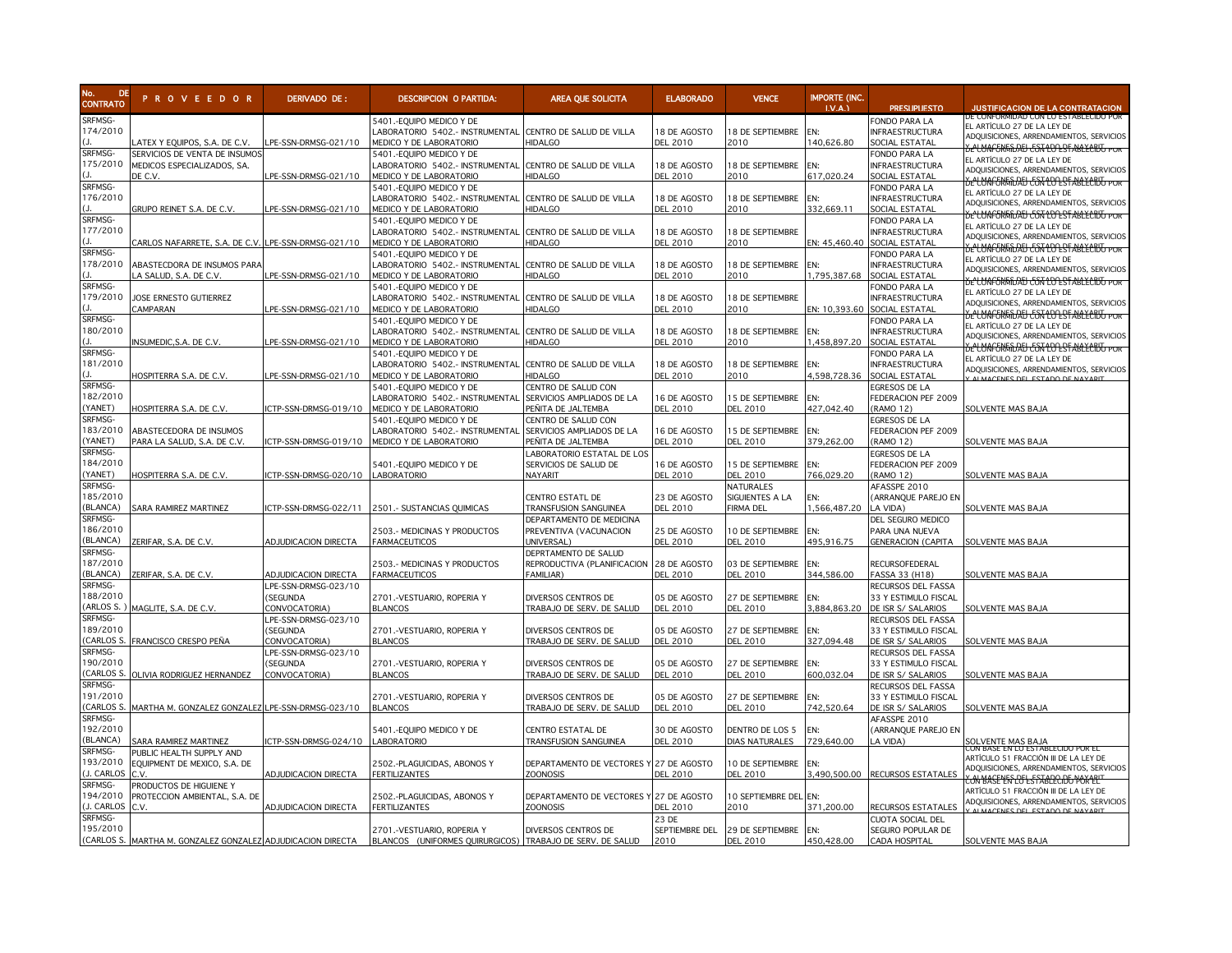

| No. DE<br>CONTRATO<br>DE | <b>PROVEEDOR</b>                                            | DERIVADO DE:         | <b>DESCRIPCION O PARTIDA:</b>                                | AREA QUE SOLICITA                          | <b>ELABORADO</b>                | <b>VENCE</b>                    | <b>IMPORTE (INC.</b><br>LV.A. | <b>PRESUPUESTO</b>                          | <b>JUSTIFICACION DE LA CONTRATACION</b>                                                    |
|--------------------------|-------------------------------------------------------------|----------------------|--------------------------------------------------------------|--------------------------------------------|---------------------------------|---------------------------------|-------------------------------|---------------------------------------------|--------------------------------------------------------------------------------------------|
| SRFMSG-                  |                                                             |                      |                                                              |                                            |                                 |                                 |                               |                                             | E CONFORMIDAD CON LO ESTABLECIDO POR                                                       |
| 174/2010                 |                                                             |                      | 5401.-EQUIPO MEDICO Y DE<br>LABORATORIO 5402 .- INSTRUMENTAL |                                            |                                 | 18 DE SEPTIEMBRE                | EN:                           | FONDO PARA LA<br><b>INFRAESTRUCTURA</b>     | EL ARTÍCULO 27 DE LA LEY DE                                                                |
|                          | ATEX Y EQUIPOS, S.A. DE C.V.                                | PE-SSN-DRMSG-021/10  | MEDICO Y DE LABORATORIO                                      | CENTRO DE SALUD DE VILLA<br><b>HIDALGO</b> | 18 DE AGOSTO<br><b>DEL 2010</b> | 2010                            | 140,626.80                    | SOCIAL ESTATAL                              | ADQUISICIONES, ARRENDAMIENTOS, SERVICIOS                                                   |
| SRFMSG-                  | SERVICIOS DE VENTA DE INSUMOS                               |                      | 5401.-EQUIPO MEDICO Y DE                                     |                                            |                                 |                                 |                               | FONDO PARA LA                               | <u> BE'CUNFORINDAD CON LO EST ABLECIDO POR</u>                                             |
| 175/2010                 | MEDICOS ESPECIALIZADOS, SA.                                 |                      | LABORATORIO 5402.- INSTRUMENTAL                              | CENTRO DE SALUD DE VILLA                   | 18 DE AGOSTO                    | 18 DE SEPTIEMBRE                | EN:                           | INFRAESTRUCTURA                             | EL ARTÍCULO 27 DE LA LEY DE                                                                |
|                          | de C.V.                                                     | PE-SSN-DRMSG-021/10  | MEDICO Y DE LABORATORIO                                      | HIDALGO                                    | <b>DEL 2010</b>                 | 2010                            | 617,020.24                    | SOCIAL ESTATAL                              | ADQUISICIONES, ARRENDAMIENTOS, SERVICIOS                                                   |
| SRFMSG-                  |                                                             |                      | 5401.-EQUIPO MEDICO Y DE                                     |                                            |                                 |                                 |                               | FONDO PARA LA                               | <del>SE'UNAFORMIDAD CON LU ES'I ABLECIDO POR</del>                                         |
| 176/2010                 |                                                             |                      | LABORATORIO 5402 .- INSTRUMENTAL                             | CENTRO DE SALUD DE VILLA                   | 18 DE AGOSTO                    | 18 DE SEPTIEMBRE                | FN:                           | <b>INFRAESTRUCTURA</b>                      | EL ARTÍCULO 27 DE LA LEY DE                                                                |
|                          | GRUPO REINET S.A. DE C.V.                                   | PE-SSN-DRMSG-021/10  | <b>MEDICO Y DE LABORATORIO</b>                               | <b>HIDALGO</b>                             | <b>DEL 2010</b>                 | 2010                            | 332,669.11                    | SOCIAL ESTATAL                              | ADQUISICIONES, ARRENDAMIENTOS, SERVICIOS<br><u>YE LUNE EN TABLE CON LOO BE ARECENT FOR</u> |
| SRFMSG-                  |                                                             |                      | 5401.-EQUIPO MEDICO Y DE                                     |                                            |                                 |                                 |                               | FONDO PARA LA                               |                                                                                            |
| 177/2010                 |                                                             |                      | LABORATORIO 5402.- INSTRUMENTAL                              | CENTRO DE SALUD DE VILLA                   | 18 DE AGOSTO                    | 18 DE SEPTIEMBRE                |                               | INFRAESTRUCTURA                             | EL ARTÍCULO 27 DE LA LEY DE<br>ADQUISICIONES, ARRENDAMIENTOS, SERVICIOS                    |
|                          | CARLOS NAFARRETE, S.A. DE C.V.                              | LPE-SSN-DRMSG-021/10 | MEDICO Y DE LABORATORIO                                      | <b>HIDALGO</b>                             | DEL 2010                        | 2010                            | EN: 45,460.40                 | SOCIAL ESTATAL                              | <u>SELUAFORIADAD CON LO ESTABLECTUS POR</u>                                                |
| <b>SRFMSG-</b>           |                                                             |                      | 5401.-EQUIPO MEDICO Y DE                                     |                                            |                                 |                                 |                               | FONDO PARA LA                               | EL ARTÍCULO 27 DE LA LEY DE                                                                |
| 178/2010                 | ABASTECDORA DE INSUMOS PARA                                 |                      | LABORATORIO 5402.- INSTRUMENTAL                              | CENTRO DE SALUD DE VILLA                   | 18 DE AGOSTO                    | 18 DE SEPTIEMBRE                | EN:                           | INFRAESTRUCTURA                             | ADQUISICIONES, ARRENDAMIENTOS, SERVICIOS                                                   |
|                          | A SALUD, S.A. DE C.V.                                       | PE-SSN-DRMSG-021/10  | MEDICO Y DE LABORATORIO                                      | HIDALGO                                    | <b>DEL 2010</b>                 | 2010                            | 1,795,387.68                  | SOCIAL ESTATAL                              | <u> SELVAFORIADAD CON LO EST ABLECTUS POR</u>                                              |
| SRFMSG-                  |                                                             |                      | 5401.-EQUIPO MEDICO Y DE                                     |                                            |                                 |                                 |                               | FONDO PARA LA                               | EL ARTÍCULO 27 DE LA LEY DE                                                                |
| 179/2010                 | JOSE ERNESTO GUTIERREZ                                      |                      | LABORATORIO 5402.- INSTRUMENTAL                              | CENTRO DE SALUD DE VILLA                   | 18 DE AGOSTO                    | 18 DE SEPTIEMBRE                |                               | INFRAESTRUCTURA                             | ADQUISICIONES, ARRENDAMIENTOS, SERVICIOS                                                   |
| <b>SRFMSG-</b>           | CAMPARAN                                                    | PE-SSN-DRMSG-021/10  | MEDICO Y DE LABORATORIO                                      | HIDALGO                                    | <b>DEL 2010</b>                 | 2010                            | EN: 10,393.60                 | SOCIAL ESTATAL<br>FONDO PARA LA             | <u>YELMAFORIADIA ESITLOLISTAKLECIUJ POR</u>                                                |
| 180/2010                 |                                                             |                      | 5401.-EQUIPO MEDICO Y DE<br>LABORATORIO 5402.- INSTRUMENTAL  | CENTRO DE SALUD DE VILLA                   | 18 DE AGOSTO                    | 18 DE SEPTIEMBRE                | FN:                           | INFRAESTRUCTURA                             | EL ARTÍCULO 27 DE LA LEY DE                                                                |
|                          | INSUMEDIC,S.A. DE C.V                                       | PE-SSN-DRMSG-021/10  | MEDICO Y DE LABORATORIO                                      | <b>HIDALGO</b>                             | <b>DEL 2010</b>                 | 2010                            | 1,458,897.20                  | SOCIAL ESTATAL                              | ADQUISICIONES, ARRENDAMIENTOS, SERVICIOS                                                   |
| SRFMSG-                  |                                                             |                      | 5401.-Equipo medico y de                                     |                                            |                                 |                                 |                               | FONDO PARA LA                               | SELUAFERITIDAEI ESTLEDESTABLECEUT POR                                                      |
| 181/2010                 |                                                             |                      | LABORATORIO 5402.- INSTRUMENTAL                              | CENTRO DE SALUD DE VILLA                   | 18 DE AGOSTO                    | 18 DE SEPTIEMBRE                | EN:                           | INFRAESTRUCTURA                             | EL ARTÍCULO 27 DE LA LEY DE                                                                |
|                          | hospiterra S.A. de C.V.                                     | PE-SSN-DRMSG-021/10  | MEDICO Y DE LABORATORIO                                      | HIDALGO                                    | DEL 2010                        | 2010                            | 4,598,728.36                  | SOCIAL ESTATAL                              | ADQUISICIONES, ARRENDAMIENTOS, SERVICIOS                                                   |
| SRFMSG-                  |                                                             |                      | 5401.-EQUIPO MEDICO Y DE                                     | CENTRO DE SALUD CON                        |                                 |                                 |                               | EGRESOS DE LA                               |                                                                                            |
| 182/2010                 |                                                             |                      | LABORATORIO 5402.- INSTRUMENTAL                              | SERVICIOS AMPLIADOS DE LA                  | 16 DE AGOSTO                    | 15 DE SEPTIEMBRE                | EN:                           | FEDERACION PEF 2009                         |                                                                                            |
| YANET)                   | hospiterra S.A. de C.V                                      | CTP-SSN-DRMSG-019/10 | MEDICO Y DE LABORATORIO                                      | PEÑITA DE JALTEMBA                         | <b>DEL 2010</b>                 | <b>DEL 2010</b>                 | 427,042.40                    | (RAMO 12)                                   | SOLVENTE MAS BAJA                                                                          |
| <b>SRFMSG-</b>           |                                                             |                      | 5401.-EQUIPO MEDICO Y DE                                     | CENTRO DE SALUD CON                        |                                 |                                 |                               | EGRESOS DE LA                               |                                                                                            |
| 183/2010                 | ABASTECEDORA DE INSUMOS                                     |                      | LABORATORIO 5402.- INSTRUMENTAL                              | SERVICIOS AMPLIADOS DE LA                  | 16 DE AGOSTO                    | 15 DE SEPTIEMBRE                | EN:                           | FEDERACION PEF 2009                         |                                                                                            |
| YANET)                   | PARA LA SALUD, S.A. DE C.V.                                 | CTP-SSN-DRMSG-019/10 | MEDICO Y DE LABORATORIO                                      | PEÑITA DE JALTEMBA                         | <b>DEL 2010</b>                 | DEL 2010                        | 379,262.00                    | (RAMO 12)                                   | SOLVENTE MAS BAJA                                                                          |
| SRFMSG-                  |                                                             |                      |                                                              | LABORATORIO ESTATAL DE LOS                 |                                 |                                 |                               | EGRESOS DE LA                               |                                                                                            |
| 184/2010                 |                                                             |                      | 5401.-Equipo medico y de                                     | Servicios de Salud de                      | 16 DE AGOSTO                    | 15 DE SEPTIEMBRE                | FN:                           | FEDERACION PEF 2009                         |                                                                                            |
| YANET)                   | HOSPITERRA S.A. DE C.V.                                     | CTP-SSN-DRMSG-020/10 | LABORATORIO                                                  | NAYARIT                                    | <b>DEL 2010</b>                 | <b>DEL 2010</b>                 | 766.029.20                    | <b>RAMO 12)</b>                             | SOLVENTE MAS BAJA                                                                          |
| SRFMSG-                  |                                                             |                      |                                                              |                                            |                                 | NATURALES                       |                               | AFASSPE 2010                                |                                                                                            |
| 185/2010<br>(BLANCA)     |                                                             |                      |                                                              | CENTRO ESTATL DE                           | 23 DE AGOSTO                    | SIGUIENTES A LA                 | EN:                           | (ARRANQUE PAREJO EN                         |                                                                                            |
| SRFMSG-                  | SARA RAMIREZ MARTINEZ                                       | CTP-SSN-DRMSG-022/11 | 2501 .- SUSTANCIAS QUIMICAS                                  | TRANSFUSION SANGUINEA                      | <b>DEL 2010</b>                 | <b>FIRMA DEL</b>                | 1,566,487.20                  | A VIDA)                                     | SOLVENTE MAS BAJA                                                                          |
| 186/2010                 |                                                             |                      |                                                              | DEPARTAMENTO DE MEDICINA                   |                                 | 10 DE SEPTIEMBRE                | EN:                           | DEL SEGURO MEDICO                           |                                                                                            |
| <b>BLANCA)</b>           | ZERIFAR, S.A. DE C.V.                                       | ADJUDICACION DIRECTA | 2503.- MEDICINAS Y PRODUCTOS<br><b>FARMACEUTICOS</b>         | PREVENTIVA (VACUNACION<br>UNIVERSAL)       | 25 DE AGOSTO<br><b>DEL 2010</b> | <b>DEL 2010</b>                 | 495.916.75                    | PARA UNA NUEVA<br><b>GENERACION (CAPITA</b> | SOLVENTE MAS BAJA                                                                          |
| SRFMSG-                  |                                                             |                      |                                                              | DEPRTAMENTO DE SALUD                       |                                 |                                 |                               |                                             |                                                                                            |
| 187/2010                 |                                                             |                      | 2503.- MEDICINAS Y PRODUCTOS                                 | REPRODUCTIVA (PLANIFICACION                | 28 DE AGOSTO                    | 03 DE SEPTIEMBRE                | EN:                           | RECURSOFEDERAL                              |                                                                                            |
| <b>BLANCA)</b>           | ZERIFAR, S.A. DE C.V.                                       | ADJUDICACION DIRECTA | <b>FARMACEUTICOS</b>                                         | <b>FAMILIAR</b> )                          | <b>DEL 2010</b>                 | <b>DEL 2010</b>                 | 344,586.00                    | FASSA 33 (H18)                              | SOLVENTE MAS BAJA                                                                          |
| SRFMSG-                  |                                                             | LPE-SSN-DRMSG-023/10 |                                                              |                                            |                                 |                                 |                               | RECURSOS DEL FASSA                          |                                                                                            |
| 188/2010                 |                                                             | SEGUNDA              | 2701.-VESTUARIO, ROPERIA Y                                   | DIVERSOS CENTROS DE                        | 05 DE AGOSTO                    | 27 DE SEPTIEMBRE                | FN·                           | 33 Y ESTIMULO FISCAL                        |                                                                                            |
| (ARLOS S.)               | MAGLITE, S.A. DE C.V.                                       | CONVOCATORIA)        | <b>BLANCOS</b>                                               | TRABAJO DE SERV. DE SALUD                  | <b>DEL 2010</b>                 | <b>DEL 2010</b>                 | 3,884,863.20                  | DE ISR S/ SALARIOS                          | SOLVENTE MAS BAJA                                                                          |
| SRFMSG-                  |                                                             | LPE-SSN-DRMSG-023/10 |                                                              |                                            |                                 |                                 |                               | RECURSOS DEL FASSA                          |                                                                                            |
| 189/2010                 |                                                             | SEGUNDA              | 2701.-VESTUARIO, ROPERIA Y                                   | DIVERSOS CENTROS DE                        | 05 DE AGOSTO                    | 27 DE SEPTIEMBRE                | EN:                           | 33 Y ESTIMULO FISCAL                        |                                                                                            |
| CARLOS S.                | FRANCISCO CRESPO PEÑA                                       | CONVOCATORIA)        | <b>BLANCOS</b>                                               | TRABAJO DE SERV. DE SALUD                  | <b>DEL 2010</b>                 | <b>DEL 2010</b>                 | 327.094.48                    | DE ISR S/ SALARIOS                          | SOLVENTE MAS BAJA                                                                          |
| SRFMSG-                  |                                                             | LPE-SSN-DRMSG-023/10 |                                                              |                                            |                                 |                                 |                               | RECURSOS DEL FASSA                          |                                                                                            |
| 190/2010<br>CARLOS S.    |                                                             | (SEGUNDA             | 2701.-VESTUARIO, ROPERIA Y                                   | DIVERSOS CENTROS DE                        | 05 DE AGOSTO                    | 27 DE SEPTIEMBRE                | EN:                           | 33 Y ESTIMULO FISCAL                        |                                                                                            |
| SRFMSG-                  | <b>OLIVIA RODRIGUEZ HERNANDEZ</b>                           | CONVOCATORIA)        | <b>BLANCOS</b>                                               | TRABAJO DE SERV. DE SALUD                  | DEL 2010                        | <b>DEL 2010</b>                 | 600,032.04                    | DE ISR S/ SALARIOS                          | <b>SOLVENTE MAS BAJA</b>                                                                   |
| 191/2010                 |                                                             |                      | 2701.-VESTUARIO, ROPERIA Y                                   | DIVERSOS CENTROS DE                        | 05 DE AGOSTO                    | 27 DE SEPTIEMBRE                | EN:                           | RECURSOS DEL FASSA<br>33 Y ESTIMULO FISCAL  |                                                                                            |
| CARLOS S.                | MARTHA M. GONZALEZ GONZALEZ                                 | PE-SSN-DRMSG-023/10  | <b>BLANCOS</b>                                               | TRABAJO DE SERV. DE SALUD                  | <b>DEL 2010</b>                 | <b>DEL 2010</b>                 | 742,520.64                    | DE ISR S/ SALARIOS                          | SOLVENTE MAS BAJA                                                                          |
| SRFMSG-                  |                                                             |                      |                                                              |                                            |                                 |                                 |                               | AFASSPE 2010                                |                                                                                            |
| 192/2010                 |                                                             |                      | 5401.-Equipo medico y de                                     | CENTRO ESTATAL DE                          | 30 DE AGOSTO                    | DENTRO DE LOS 5                 | EN:                           | ARRANQUE PAREJO EN                          |                                                                                            |
| (BLANCA)                 | SARA RAMIREZ MARTINEZ                                       | CTP-SSN-DRMSG-024/10 | LABORATORIO                                                  | TRANSFUSION SANGUINEA                      | <b>DEL 2010</b>                 | <b>DIAS NATURALES</b>           | 729,640.00                    | A VIDA)                                     | SOLVENTE MAS BAJA                                                                          |
| SRFMSG-                  | PUBLIC HEALTH SUPPLY AND                                    |                      |                                                              |                                            |                                 |                                 |                               |                                             |                                                                                            |
| 193/2010                 | EQUIPMENT DE MEXICO, S.A. DE                                |                      | 2502.-PLAGUICIDAS, ABONOS Y                                  | DEPARTAMENTO DE VECTORES                   | 27 DE AGOSTO                    | 10 DE SEPTIEMBRE                | EN:                           |                                             | ARTÍCULO 51 FRACCIÓN III DE LA LEY DE                                                      |
| (J. CARLOS               | C V                                                         | ADJUDICACION DIRECTA | <b>FERTILIZANTES</b>                                         | ZOONOSIS                                   | DEL 2010                        | <b>DEL 2010</b>                 | 3,490,500.00                  | RECURSOS ESTATALES                          | ADQUISICIONES, ARRENDAMIENTOS, SERVICIOS                                                   |
| SRFMSG-                  | PRODUCTOS DE HIGUIENE Y                                     |                      |                                                              |                                            |                                 |                                 |                               |                                             | <del>ON BASE LIN EV LS FABEEC DU POK LET</del><br>ARTÍCULO 51 FRACCIÓN III DE LA LEY DE    |
| 194/2010                 | PROTECCION AMBIENTAL, S.A. DE                               |                      | 2502.-PLAGUICIDAS, ABONOS Y                                  | DEPARTAMENTO DE VECTORES                   | 27 DE AGOSTO                    | 10 SEPTIEMBRE DEL               | EN:                           |                                             | ADQUISICIONES, ARRENDAMIENTOS, SERVICIOS                                                   |
| J. CARLOS                |                                                             | ADJUDICACION DIRECTA | <b>FERTILIZANTES</b>                                         | ZOONOSIS                                   | <b>DEL 2010</b>                 | 2010                            | 371,200.00                    | RECURSOS ESTATALES                          | MACENES DEL ESTADO DE NAVARE                                                               |
| SRFMSG-                  |                                                             |                      |                                                              |                                            | 23 DE                           |                                 |                               | CUOTA SOCIAL DEL                            |                                                                                            |
| 195/2010                 |                                                             |                      | 2701.-VESTUARIO, ROPERIA Y                                   | DIVERSOS CENTROS DE                        |                                 | SEPTIEMBRE DEL 29 DE SEPTIEMBRE | EN:                           | SEGURO POPULAR DE                           |                                                                                            |
|                          | (CARLOS S. MARTHA M. GONZALEZ GONZALEZ ADJUDICACION DIRECTA |                      | BLANCOS (UNIFORMES QUIRURGICOS)                              | TRABAJO DE SERV. DE SALUD                  | 2010                            | <b>DEL 2010</b>                 | 450,428.00                    | <b>CADA HOSPITAL</b>                        | SOLVENTE MAS BAJA                                                                          |